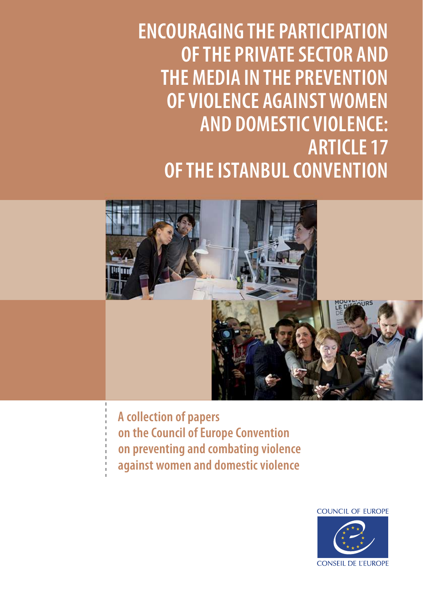**ENCOURAGING THE PARTICIPATION OF THE PRIVATE SECTOR AND THE MEDIA IN THE PREVENTION OF VIOLENCE AGAINST WOMEN AND DOMESTIC VIOLENCE: ARTICLE 17 OF THE ISTANBUL CONVENTION**



**A collection of papers on the Council of Europe Convention on preventing and combating violence against women and domestic violence**

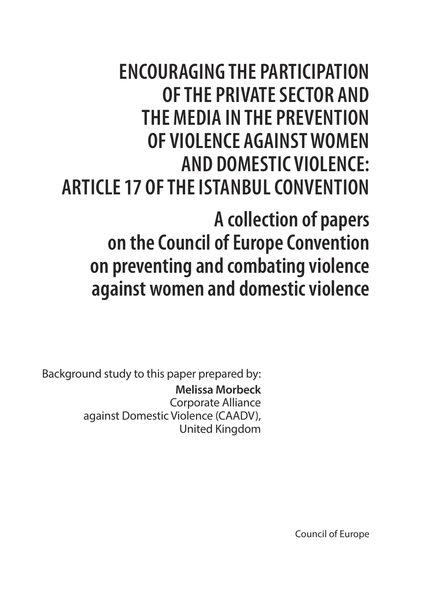### **ENCOURAGING THE PARTICIPATION OF THE PRIVATE SECTOR AND THE MEDIA IN THE PREVENTION OF VIOLENCE AGAINST WOMEN AND DOMESTIC VIOLENCE: ARTICLE 17 OF THE ISTANBUL CONVENTION**

**A collection of papers on the Council of Europe Convention on preventing and combating violence against women and domestic violence**

Background study to this paper prepared by: **Melissa Morbeck**  Corporate Alliance against Domestic Violence (CAADV), United Kingdom

Council of Europe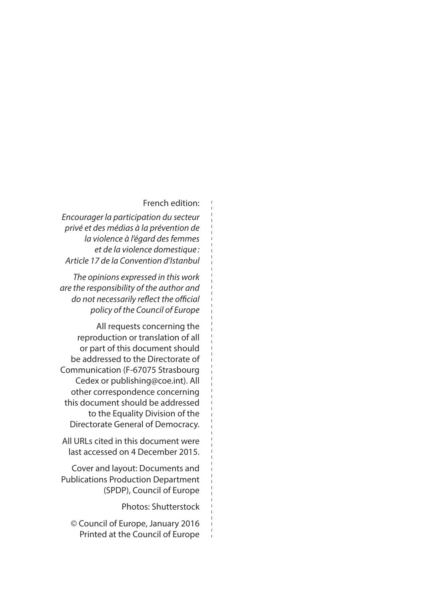#### French edition:

*Encourager la participation du secteur privé et des médias à la prévention de la violence à l'égard des femmes et de la violence domestique : Article 17 de la Convention d'Istanbul*

*The opinions expressed in this work are the responsibility of the author and do not necessarily reflect the official policy of the Council of Europe*

All requests concerning the reproduction or translation of all or part of this document should be addressed to the Directorate of Communication (F-67075 Strasbourg Cedex or publishing@coe.int). All other correspondence concerning this document should be addressed to the Equality Division of the Directorate General of Democracy.

All URLs cited in this document were last accessed on 4 December 2015.

Cover and layout: Documents and Publications Production Department (SPDP), Council of Europe

Photos: Shutterstock

© Council of Europe, January 2016 Printed at the Council of Europe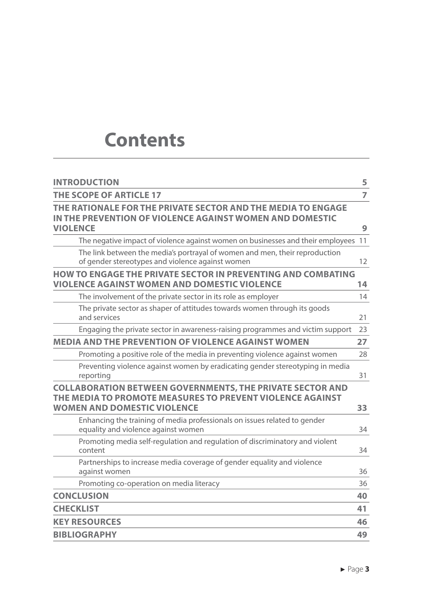### **Contents**

| <b>INTRODUCTION</b>                                                                                                                                                 | 5              |
|---------------------------------------------------------------------------------------------------------------------------------------------------------------------|----------------|
| THE SCOPE OF ARTICLE 17                                                                                                                                             | $\overline{7}$ |
| THE RATIONALE FOR THE PRIVATE SECTOR AND THE MEDIA TO ENGAGE<br>IN THE PREVENTION OF VIOLENCE AGAINST WOMEN AND DOMESTIC<br><b>VIOLENCE</b>                         | 9              |
| The negative impact of violence against women on businesses and their employees                                                                                     | 11             |
| The link between the media's portrayal of women and men, their reproduction<br>of gender stereotypes and violence against women                                     | 12             |
| HOW TO ENGAGE THE PRIVATE SECTOR IN PREVENTING AND COMBATING<br>VIOLENCE AGAINST WOMEN AND DOMESTIC VIOLENCE                                                        | 14             |
| The involvement of the private sector in its role as employer                                                                                                       | 14             |
| The private sector as shaper of attitudes towards women through its goods<br>and services                                                                           | 21             |
| Engaging the private sector in awareness-raising programmes and victim support                                                                                      | 23             |
| <b>MEDIA AND THE PREVENTION OF VIOLENCE AGAINST WOMEN</b>                                                                                                           | 27             |
| Promoting a positive role of the media in preventing violence against women                                                                                         | 28             |
| Preventing violence against women by eradicating gender stereotyping in media<br>reporting                                                                          | 31             |
| <b>COLLABORATION BETWEEN GOVERNMENTS, THE PRIVATE SECTOR AND</b><br>THE MEDIA TO PROMOTE MEASURES TO PREVENT VIOLENCE AGAINST<br><b>WOMEN AND DOMESTIC VIOLENCE</b> | 33             |
| Enhancing the training of media professionals on issues related to gender<br>equality and violence against women                                                    | 34             |
| Promoting media self-regulation and regulation of discriminatory and violent<br>content                                                                             | 34             |
| Partnerships to increase media coverage of gender equality and violence<br>against women                                                                            | 36             |
| Promoting co-operation on media literacy                                                                                                                            | 36             |
| <b>CONCLUSION</b>                                                                                                                                                   | 40             |
| <b>CHECKLIST</b>                                                                                                                                                    | 41             |
| <b>KEY RESOURCES</b>                                                                                                                                                | 46             |
| <b>BIBLIOGRAPHY</b>                                                                                                                                                 | 49             |
|                                                                                                                                                                     |                |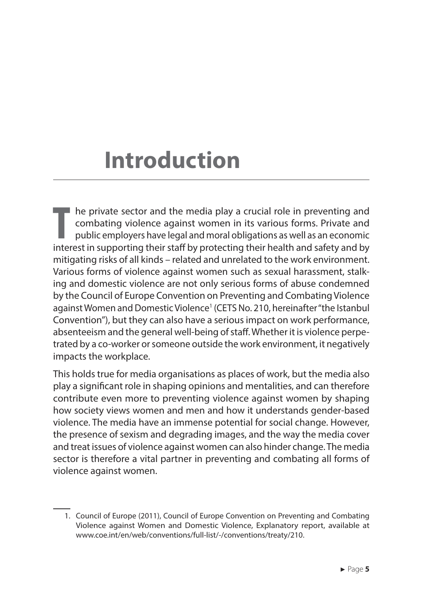## **Introduction**

**T** he private sector and the media play a crucial role in preventing and combating violence against women in its various forms. Private and public employers have legal and moral obligations as well as an economic interest in supporting their staff by protecting their health and safety and by mitigating risks of all kinds – related and unrelated to the work environment. Various forms of violence against women such as sexual harassment, stalking and domestic violence are not only serious forms of abuse condemned by the Council of Europe Convention on Preventing and Combating Violence against Women and Domestic Violence<sup>1</sup> (CETS No. 210, hereinafter "the Istanbul Convention"), but they can also have a serious impact on work performance, absenteeism and the general well-being of staff. Whether it is violence perpetrated by a co-worker or someone outside the work environment, it negatively impacts the workplace.

This holds true for media organisations as places of work, but the media also play a significant role in shaping opinions and mentalities, and can therefore contribute even more to preventing violence against women by shaping how society views women and men and how it understands gender-based violence. The media have an immense potential for social change. However, the presence of sexism and degrading images, and the way the media cover and treat issues of violence against women can also hinder change. The media sector is therefore a vital partner in preventing and combating all forms of violence against women.

<sup>1.</sup> Council of Europe (2011), Council of Europe Convention on Preventing and Combating Violence against Women and Domestic Violence, Explanatory report, available at www.coe.int/en/web/conventions/full-list/-/conventions/treaty/210.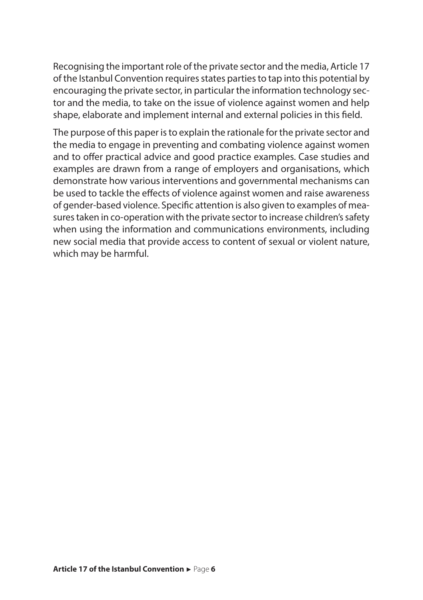Recognising the important role of the private sector and the media, Article 17 of the Istanbul Convention requires states parties to tap into this potential by encouraging the private sector, in particular the information technology sector and the media, to take on the issue of violence against women and help shape, elaborate and implement internal and external policies in this field.

The purpose of this paper is to explain the rationale for the private sector and the media to engage in preventing and combating violence against women and to offer practical advice and good practice examples. Case studies and examples are drawn from a range of employers and organisations, which demonstrate how various interventions and governmental mechanisms can be used to tackle the effects of violence against women and raise awareness of gender-based violence. Specific attention is also given to examples of measures taken in co-operation with the private sector to increase children's safety when using the information and communications environments, including new social media that provide access to content of sexual or violent nature, which may be harmful.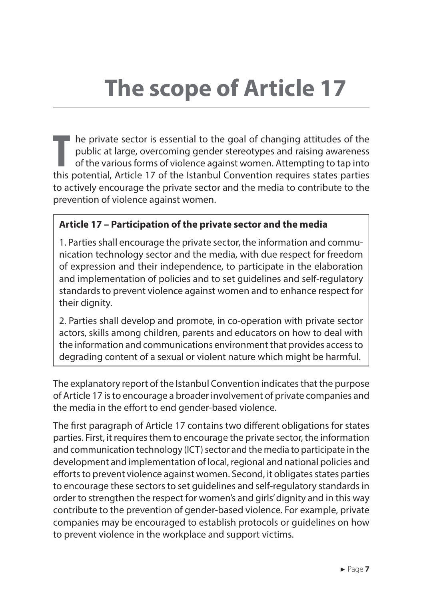# **The scope of Article 17**

**T** he private sector is essential to the goal of changing attitudes of the public at large, overcoming gender stereotypes and raising awareness of the various forms of violence against women. Attempting to tap into this potential, Article 17 of the Istanbul Convention requires states parties to actively encourage the private sector and the media to contribute to the prevention of violence against women.

#### **Article 17 – Participation of the private sector and the media**

1. Parties shall encourage the private sector, the information and communication technology sector and the media, with due respect for freedom of expression and their independence, to participate in the elaboration and implementation of policies and to set guidelines and self‐regulatory standards to prevent violence against women and to enhance respect for their dignity.

2. Parties shall develop and promote, in co-operation with private sector actors, skills among children, parents and educators on how to deal with the information and communications environment that provides access to degrading content of a sexual or violent nature which might be harmful.

The explanatory report of the Istanbul Convention indicates that the purpose of Article 17 is to encourage a broader involvement of private companies and the media in the effort to end gender-based violence.

The first paragraph of Article 17 contains two different obligations for states parties. First, it requires them to encourage the private sector, the information and communication technology (ICT) sector and the media to participate in the development and implementation of local, regional and national policies and efforts to prevent violence against women. Second, it obligates states parties to encourage these sectors to set guidelines and self-regulatory standards in order to strengthen the respect for women's and girls' dignity and in this way contribute to the prevention of gender-based violence. For example, private companies may be encouraged to establish protocols or guidelines on how to prevent violence in the workplace and support victims.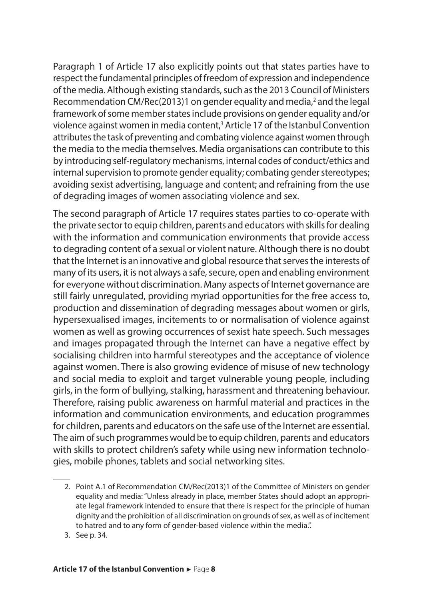Paragraph 1 of Article 17 also explicitly points out that states parties have to respect the fundamental principles of freedom of expression and independence of the media. Although existing standards, such as the 2013 Council of Ministers Recommendation CM/Rec(2013)1 on gender equality and media,<sup>2</sup> and the legal framework of some member states include provisions on gender equality and/or violence against women in media content,<sup>3</sup> Article 17 of the Istanbul Convention attributes the task of preventing and combating violence against women through the media to the media themselves. Media organisations can contribute to this by introducing self-regulatory mechanisms, internal codes of conduct/ethics and internal supervision to promote gender equality; combating gender stereotypes; avoiding sexist advertising, language and content; and refraining from the use of degrading images of women associating violence and sex.

The second paragraph of Article 17 requires states parties to co-operate with the private sector to equip children, parents and educators with skills for dealing with the information and communication environments that provide access to degrading content of a sexual or violent nature. Although there is no doubt that the Internet is an innovative and global resource that serves the interests of many of its users, it is not always a safe, secure, open and enabling environment for everyone without discrimination. Many aspects of Internet governance are still fairly unregulated, providing myriad opportunities for the free access to, production and dissemination of degrading messages about women or girls, hypersexualised images, incitements to or normalisation of violence against women as well as growing occurrences of sexist hate speech. Such messages and images propagated through the Internet can have a negative effect by socialising children into harmful stereotypes and the acceptance of violence against women. There is also growing evidence of misuse of new technology and social media to exploit and target vulnerable young people, including girls, in the form of bullying, stalking, harassment and threatening behaviour. Therefore, raising public awareness on harmful material and practices in the information and communication environments, and education programmes for children, parents and educators on the safe use of the Internet are essential. The aim of such programmes would be to equip children, parents and educators with skills to protect children's safety while using new information technologies, mobile phones, tablets and social networking sites.

3. See p. 34.

<sup>2.</sup> Point A.1 of Recommendation CM/Rec(2013)1 of the Committee of Ministers on gender equality and media: "Unless already in place, member States should adopt an appropriate legal framework intended to ensure that there is respect for the principle of human dignity and the prohibition of all discrimination on grounds of sex, as well as of incitement to hatred and to any form of gender-based violence within the media.".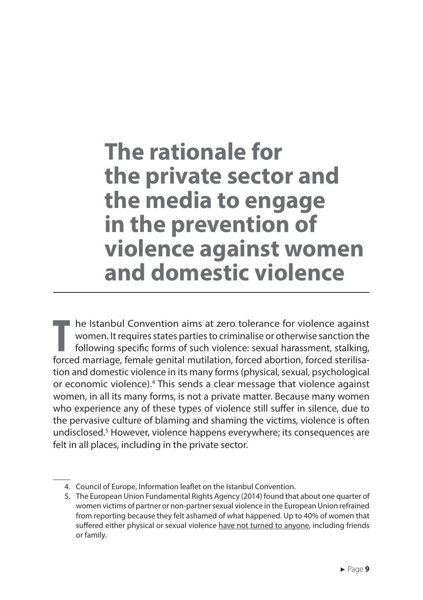### **The rationale for the private sector and the media to engage in the prevention of violence against women and domestic violence**

**T** he Istanbul Convention aims at zero tolerance for violence against women. It requires states parties to criminalise or otherwise sanction the following specific forms of such violence: sexual harassment, stalking, forced marriage, female genital mutilation, forced abortion, forced sterilisation and domestic violence in its many forms (physical, sexual, psychological or economic violence).<sup>4</sup> This sends a clear message that violence against women, in all its many forms, is not a private matter. Because many women who experience any of these types of violence still suffer in silence, due to the pervasive culture of blaming and shaming the victims, violence is often undisclosed.<sup>5</sup> However, violence happens everywhere; its consequences are felt in all places, including in the private sector.

<sup>4.</sup> Council of Europe, Information leaflet on the Istanbul Convention.

<sup>5.</sup> The European Union Fundamental Rights Agency (2014) found that about one quarter of women victims of partner or non-partner sexual violence in the European Union refrained from reporting because they felt ashamed of what happened. Up to 40% of women that suffered either physical or sexual violence have not turned to anyone, including friends or family.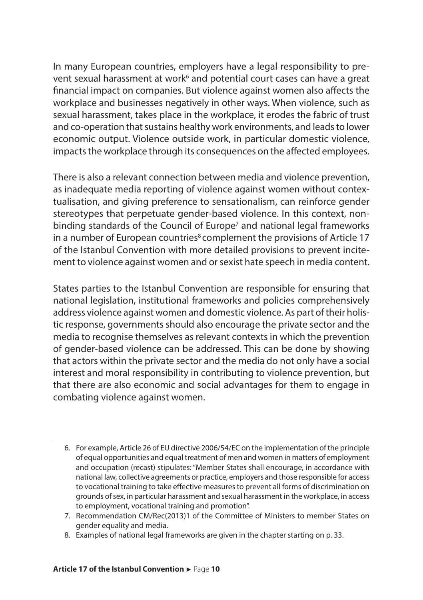In many European countries, employers have a legal responsibility to prevent sexual harassment at work<sup>6</sup> and potential court cases can have a great financial impact on companies. But violence against women also affects the workplace and businesses negatively in other ways. When violence, such as sexual harassment, takes place in the workplace, it erodes the fabric of trust and co-operation that sustains healthy work environments, and leads to lower economic output. Violence outside work, in particular domestic violence, impacts the workplace through its consequences on the affected employees.

There is also a relevant connection between media and violence prevention, as inadequate media reporting of violence against women without contextualisation, and giving preference to sensationalism, can reinforce gender stereotypes that perpetuate gender-based violence. In this context, nonbinding standards of the Council of Europe<sup>7</sup> and national legal frameworks in a number of European countries<sup>8</sup> complement the provisions of Article 17 of the Istanbul Convention with more detailed provisions to prevent incitement to violence against women and or sexist hate speech in media content.

States parties to the Istanbul Convention are responsible for ensuring that national legislation, institutional frameworks and policies comprehensively address violence against women and domestic violence. As part of their holistic response, governments should also encourage the private sector and the media to recognise themselves as relevant contexts in which the prevention of gender-based violence can be addressed. This can be done by showing that actors within the private sector and the media do not only have a social interest and moral responsibility in contributing to violence prevention, but that there are also economic and social advantages for them to engage in combating violence against women.

- 6. For example, Article 26 of EU directive 2006/54/EC on the implementation of the principle of equal opportunities and equal treatment of men and women in matters of employment and occupation (recast) stipulates: "Member States shall encourage, in accordance with national law, collective agreements or practice, employers and those responsible for access to vocational training to take effective measures to prevent all forms of discrimination on grounds of sex, in particular harassment and sexual harassment in the workplace, in access to employment, vocational training and promotion".
- 7. Recommendation CM/Rec(2013)1 of the Committee of Ministers to member States on gender equality and media.
- 8. Examples of national legal frameworks are given in the chapter starting on p. 33.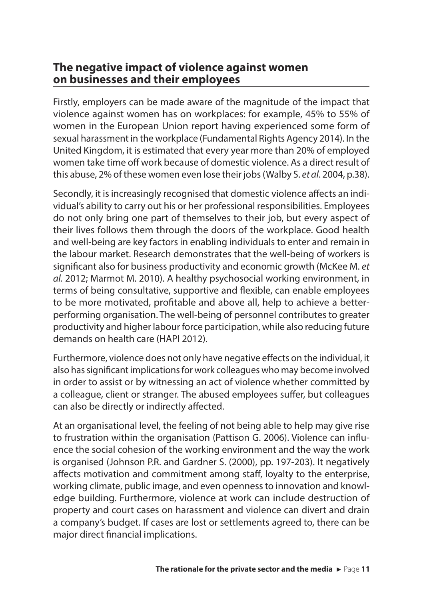#### **The negative impact of violence against women on businesses and their employees**

Firstly, employers can be made aware of the magnitude of the impact that violence against women has on workplaces: for example, 45% to 55% of women in the European Union report having experienced some form of sexual harassment in the workplace (Fundamental Rights Agency 2014). In the United Kingdom, it is estimated that every year more than 20% of employed women take time off work because of domestic violence. As a direct result of this abuse, 2% of these women even lose their jobs (Walby S. *et al*. 2004, p.38).

Secondly, it is increasingly recognised that domestic violence affects an individual's ability to carry out his or her professional responsibilities. Employees do not only bring one part of themselves to their job, but every aspect of their lives follows them through the doors of the workplace. Good health and well-being are key factors in enabling individuals to enter and remain in the labour market. Research demonstrates that the well-being of workers is significant also for business productivity and economic growth (McKee M. *et al.* 2012; Marmot M. 2010). A healthy psychosocial working environment, in terms of being consultative, supportive and flexible, can enable employees to be more motivated, profitable and above all, help to achieve a betterperforming organisation. The well-being of personnel contributes to greater productivity and higher labour force participation, while also reducing future demands on health care (HAPI 2012).

Furthermore, violence does not only have negative effects on the individual, it also has significant implications for work colleagues who may become involved in order to assist or by witnessing an act of violence whether committed by a colleague, client or stranger. The abused employees suffer, but colleagues can also be directly or indirectly affected.

At an organisational level, the feeling of not being able to help may give rise to frustration within the organisation (Pattison G. 2006). Violence can influence the social cohesion of the working environment and the way the work is organised (Johnson P.R. and Gardner S. (2000), pp. 197-203). It negatively affects motivation and commitment among staff, loyalty to the enterprise, working climate, public image, and even openness to innovation and knowledge building. Furthermore, violence at work can include destruction of property and court cases on harassment and violence can divert and drain a company's budget. If cases are lost or settlements agreed to, there can be major direct financial implications.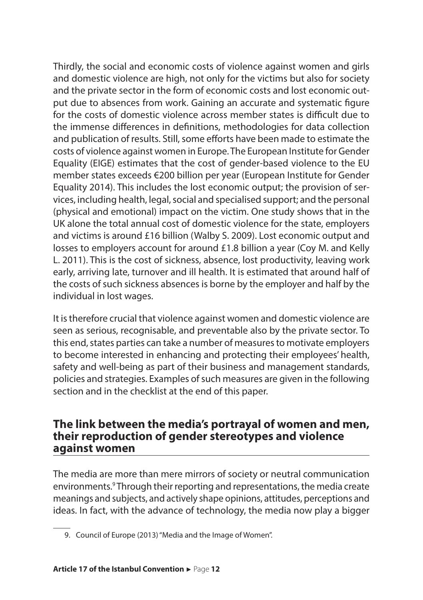Thirdly, the social and economic costs of violence against women and girls and domestic violence are high, not only for the victims but also for society and the private sector in the form of economic costs and lost economic output due to absences from work. Gaining an accurate and systematic figure for the costs of domestic violence across member states is difficult due to the immense differences in definitions, methodologies for data collection and publication of results. Still, some efforts have been made to estimate the costs of violence against women in Europe. The European Institute for Gender Equality (EIGE) estimates that the cost of gender-based violence to the EU member states exceeds €200 billion per year (European Institute for Gender Equality 2014). This includes the lost economic output; the provision of services, including health, legal, social and specialised support; and the personal (physical and emotional) impact on the victim. One study shows that in the UK alone the total annual cost of domestic violence for the state, employers and victims is around £16 billion (Walby S. 2009). Lost economic output and losses to employers account for around £1.8 billion a year (Coy M. and Kelly L. 2011). This is the cost of sickness, absence, lost productivity, leaving work early, arriving late, turnover and ill health. It is estimated that around half of the costs of such sickness absences is borne by the employer and half by the individual in lost wages.

It is therefore crucial that violence against women and domestic violence are seen as serious, recognisable, and preventable also by the private sector. To this end, states parties can take a number of measures to motivate employers to become interested in enhancing and protecting their employees' health, safety and well-being as part of their business and management standards, policies and strategies. Examples of such measures are given in the following section and in the checklist at the end of this paper.

#### **The link between the media's portrayal of women and men, their reproduction of gender stereotypes and violence against women**

The media are more than mere mirrors of society or neutral communication environments.<sup>9</sup> Through their reporting and representations, the media create meanings and subjects, and actively shape opinions, attitudes, perceptions and ideas. In fact, with the advance of technology, the media now play a bigger

<sup>9.</sup> Council of Europe (2013) "Media and the Image of Women".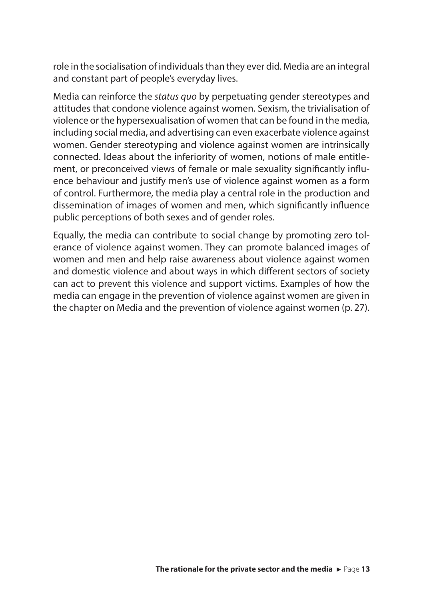role in the socialisation of individuals than they ever did. Media are an integral and constant part of people's everyday lives.

Media can reinforce the *status quo* by perpetuating gender stereotypes and attitudes that condone violence against women. Sexism, the trivialisation of violence or the hypersexualisation of women that can be found in the media, including social media, and advertising can even exacerbate violence against women. Gender stereotyping and violence against women are intrinsically connected. Ideas about the inferiority of women, notions of male entitlement, or preconceived views of female or male sexuality significantly influence behaviour and justify men's use of violence against women as a form of control. Furthermore, the media play a central role in the production and dissemination of images of women and men, which significantly influence public perceptions of both sexes and of gender roles.

Equally, the media can contribute to social change by promoting zero tolerance of violence against women. They can promote balanced images of women and men and help raise awareness about violence against women and domestic violence and about ways in which different sectors of society can act to prevent this violence and support victims. Examples of how the media can engage in the prevention of violence against women are given in the chapter on Media and the prevention of violence against women (p. 27).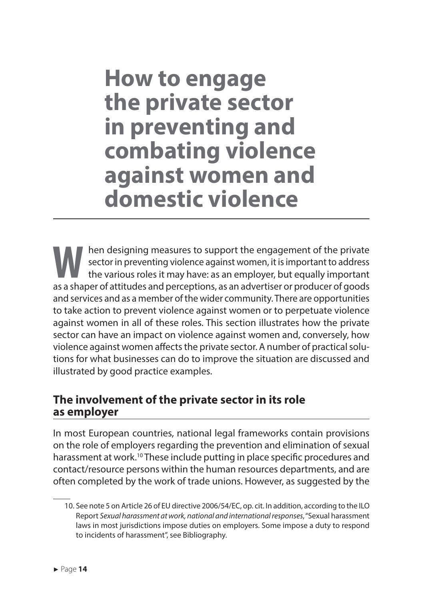**How to engage the private sector in preventing and combating violence against women and domestic violence**

**W** hen designing measures to support the engagement of the private sector in preventing violence against women, it is important to address the various roles it may have: as an employer, but equally important as a shaper of attitudes and perceptions, as an advertiser or producer of goods and services and as a member of the wider community. There are opportunities to take action to prevent violence against women or to perpetuate violence against women in all of these roles. This section illustrates how the private sector can have an impact on violence against women and, conversely, how violence against women affects the private sector. A number of practical solutions for what businesses can do to improve the situation are discussed and illustrated by good practice examples.

#### **The involvement of the private sector in its role as employer**

In most European countries, national legal frameworks contain provisions on the role of employers regarding the prevention and elimination of sexual harassment at work.<sup>10</sup> These include putting in place specific procedures and contact/resource persons within the human resources departments, and are often completed by the work of trade unions. However, as suggested by the

<sup>10.</sup> See note 5 on Article 26 of EU directive 2006/54/EC, op. cit. In addition, according to the ILO Report *Sexual harassment at work, national and international responses*, "Sexual harassment laws in most jurisdictions impose duties on employers. Some impose a duty to respond to incidents of harassment", see Bibliography.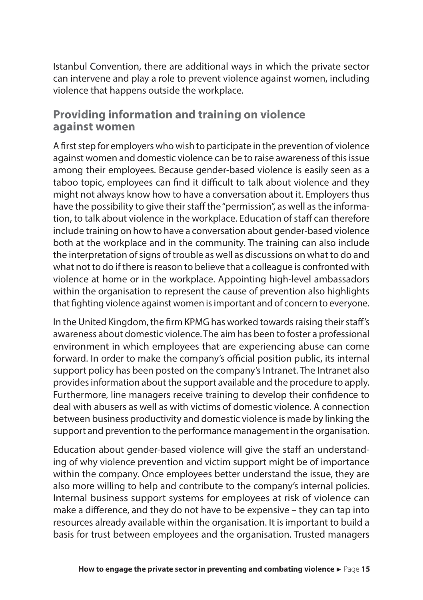Istanbul Convention, there are additional ways in which the private sector can intervene and play a role to prevent violence against women, including violence that happens outside the workplace.

#### **Providing information and training on violence against women**

A first step for employers who wish to participate in the prevention of violence against women and domestic violence can be to raise awareness of this issue among their employees. Because gender-based violence is easily seen as a taboo topic, employees can find it difficult to talk about violence and they might not always know how to have a conversation about it. Employers thus have the possibility to give their staff the "permission", as well as the information, to talk about violence in the workplace. Education of staff can therefore include training on how to have a conversation about gender-based violence both at the workplace and in the community. The training can also include the interpretation of signs of trouble as well as discussions on what to do and what not to do if there is reason to believe that a colleague is confronted with violence at home or in the workplace. Appointing high-level ambassadors within the organisation to represent the cause of prevention also highlights that fighting violence against women is important and of concern to everyone.

In the United Kingdom, the firm KPMG has worked towards raising their staff's awareness about domestic violence. The aim has been to foster a professional environment in which employees that are experiencing abuse can come forward. In order to make the company's official position public, its internal support policy has been posted on the company's Intranet. The Intranet also provides information about the support available and the procedure to apply. Furthermore, line managers receive training to develop their confidence to deal with abusers as well as with victims of domestic violence. A connection between business productivity and domestic violence is made by linking the support and prevention to the performance management in the organisation.

Education about gender-based violence will give the staff an understanding of why violence prevention and victim support might be of importance within the company. Once employees better understand the issue, they are also more willing to help and contribute to the company's internal policies. Internal business support systems for employees at risk of violence can make a difference, and they do not have to be expensive – they can tap into resources already available within the organisation. It is important to build a basis for trust between employees and the organisation. Trusted managers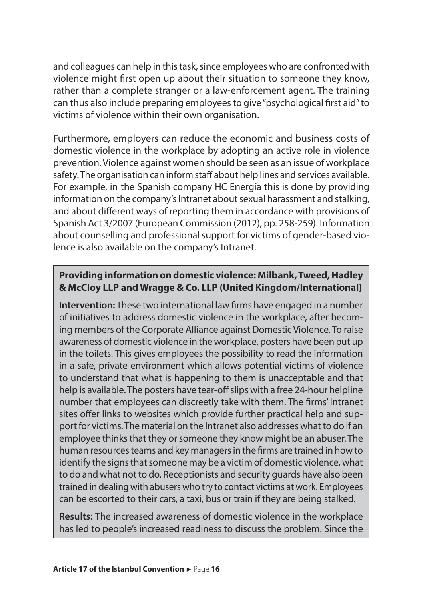and colleagues can help in this task, since employees who are confronted with violence might first open up about their situation to someone they know, rather than a complete stranger or a law-enforcement agent. The training can thus also include preparing employees to give "psychological first aid" to victims of violence within their own organisation.

Furthermore, employers can reduce the economic and business costs of domestic violence in the workplace by adopting an active role in violence prevention. Violence against women should be seen as an issue of workplace safety. The organisation can inform staff about help lines and services available. For example, in the Spanish company HC Energía this is done by providing information on the company's Intranet about sexual harassment and stalking, and about different ways of reporting them in accordance with provisions of Spanish Act 3/2007 (European Commission (2012), pp. 258-259). Information about counselling and professional support for victims of gender-based violence is also available on the company's Intranet.

#### **Providing information on domestic violence: Milbank, Tweed, Hadley & McCloy LLP and Wragge & Co. LLP (United Kingdom/International)**

**Intervention:** These two international law firms have engaged in a number of initiatives to address domestic violence in the workplace, after becoming members of the Corporate Alliance against Domestic Violence. To raise awareness of domestic violence in the workplace, posters have been put up in the toilets. This gives employees the possibility to read the information in a safe, private environment which allows potential victims of violence to understand that what is happening to them is unacceptable and that help is available. The posters have tear-off slips with a free 24-hour helpline number that employees can discreetly take with them. The firms' Intranet sites offer links to websites which provide further practical help and support for victims. The material on the Intranet also addresses what to do if an employee thinks that they or someone they know might be an abuser. The human resources teams and key managers in the firms are trained in how to identify the signs that someone may be a victim of domestic violence, what to do and what not to do. Receptionists and security guards have also been trained in dealing with abusers who try to contact victims at work. Employees can be escorted to their cars, a taxi, bus or train if they are being stalked.

**Results:** The increased awareness of domestic violence in the workplace has led to people's increased readiness to discuss the problem. Since the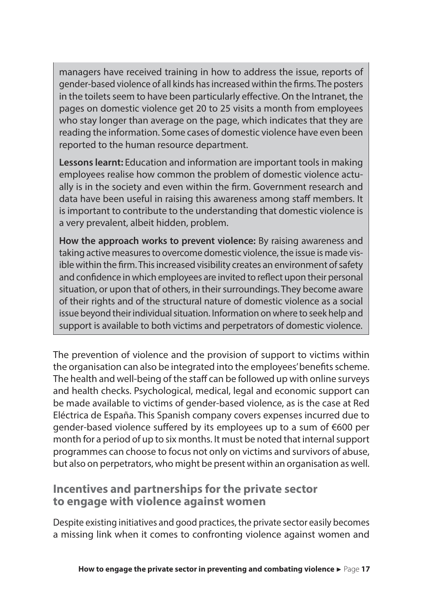managers have received training in how to address the issue, reports of gender-based violence of all kinds has increased within the firms. The posters in the toilets seem to have been particularly effective. On the Intranet, the pages on domestic violence get 20 to 25 visits a month from employees who stay longer than average on the page, which indicates that they are reading the information. Some cases of domestic violence have even been reported to the human resource department.

**Lessons learnt:** Education and information are important tools in making employees realise how common the problem of domestic violence actually is in the society and even within the firm. Government research and data have been useful in raising this awareness among staff members. It is important to contribute to the understanding that domestic violence is a very prevalent, albeit hidden, problem.

**How the approach works to prevent violence:** By raising awareness and taking active measures to overcome domestic violence, the issue is made visible within the firm. This increased visibility creates an environment of safety and confidence in which employees are invited to reflect upon their personal situation, or upon that of others, in their surroundings. They become aware of their rights and of the structural nature of domestic violence as a social issue beyond their individual situation. Information on where to seek help and support is available to both victims and perpetrators of domestic violence.

The prevention of violence and the provision of support to victims within the organisation can also be integrated into the employees' benefits scheme. The health and well-being of the staff can be followed up with online surveys and health checks. Psychological, medical, legal and economic support can be made available to victims of gender-based violence, as is the case at Red Eléctrica de España. This Spanish company covers expenses incurred due to gender-based violence suffered by its employees up to a sum of €600 per month for a period of up to six months. It must be noted that internal support programmes can choose to focus not only on victims and survivors of abuse, but also on perpetrators, who might be present within an organisation as well.

#### **Incentives and partnerships for the private sector to engage with violence against women**

Despite existing initiatives and good practices, the private sector easily becomes a missing link when it comes to confronting violence against women and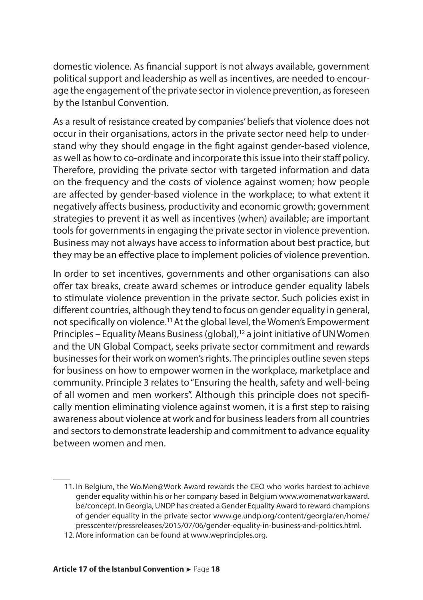domestic violence. As financial support is not always available, government political support and leadership as well as incentives, are needed to encourage the engagement of the private sector in violence prevention, as foreseen by the Istanbul Convention.

As a result of resistance created by companies' beliefs that violence does not occur in their organisations, actors in the private sector need help to understand why they should engage in the fight against gender-based violence, as well as how to co-ordinate and incorporate this issue into their staff policy. Therefore, providing the private sector with targeted information and data on the frequency and the costs of violence against women; how people are affected by gender-based violence in the workplace; to what extent it negatively affects business, productivity and economic growth; government strategies to prevent it as well as incentives (when) available; are important tools for governments in engaging the private sector in violence prevention. Business may not always have access to information about best practice, but they may be an effective place to implement policies of violence prevention.

In order to set incentives, governments and other organisations can also offer tax breaks, create award schemes or introduce gender equality labels to stimulate violence prevention in the private sector. Such policies exist in different countries, although they tend to focus on gender equality in general, not specifically on violence.<sup>11</sup>At the global level, the Women's Empowerment Principles – Equality Means Business (global),<sup>12</sup> a joint initiative of UN Women and the UN Global Compact, seeks private sector commitment and rewards businesses for their work on women's rights. The principles outline seven steps for business on how to empower women in the workplace, marketplace and community. Principle 3 relates to "Ensuring the health, safety and well-being of all women and men workers". Although this principle does not specifically mention eliminating violence against women, it is a first step to raising awareness about violence at work and for business leaders from all countries and sectors to demonstrate leadership and commitment to advance equality between women and men.

<sup>11.</sup> In Belgium, the Wo.Men@Work Award rewards the CEO who works hardest to achieve gender equality within his or her company based in Belgium www.womenatworkaward. be/concept. In Georgia, UNDP has created a Gender Equality Award to reward champions of gender equality in the private sector www.ge.undp.org/content/georgia/en/home/ presscenter/pressreleases/2015/07/06/gender-equality-in-business-and-politics.html.

<sup>12.</sup> More information can be found at www.weprinciples.org.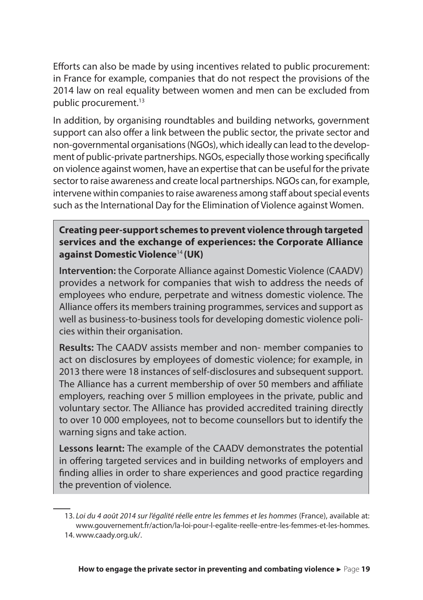Efforts can also be made by using incentives related to public procurement: in France for example, companies that do not respect the provisions of the 2014 law on real equality between women and men can be excluded from public procurement.<sup>13</sup>

In addition, by organising roundtables and building networks, government support can also offer a link between the public sector, the private sector and non-governmental organisations (NGOs), which ideally can lead to the development of public-private partnerships. NGOs, especially those working specifically on violence against women, have an expertise that can be useful for the private sector to raise awareness and create local partnerships. NGOs can, for example, intervene within companies to raise awareness among staff about special events such as the International Day for the Elimination of Violence against Women.

**Creating peer-support schemes to prevent violence through targeted services and the exchange of experiences: the Corporate Alliance against Domestic Violence**<sup>14</sup> **(UK)**

**Intervention:** the Corporate Alliance against Domestic Violence (CAADV) provides a network for companies that wish to address the needs of employees who endure, perpetrate and witness domestic violence. The Alliance offers its members training programmes, services and support as well as business-to-business tools for developing domestic violence policies within their organisation.

**Results:** The CAADV assists member and non- member companies to act on disclosures by employees of domestic violence; for example, in 2013 there were 18 instances of self-disclosures and subsequent support. The Alliance has a current membership of over 50 members and affiliate employers, reaching over 5 million employees in the private, public and voluntary sector. The Alliance has provided accredited training directly to over 10 000 employees, not to become counsellors but to identify the warning signs and take action.

**Lessons learnt:** The example of the CAADV demonstrates the potential in offering targeted services and in building networks of employers and finding allies in order to share experiences and good practice regarding the prevention of violence.

<sup>13.</sup> *Loi du 4 août 2014 sur l'égalité réelle entre les femmes et les hommes* (France), available at: www.gouvernement.fr/action/la-loi-pour-l-egalite-reelle-entre-les-femmes-et-les-hommes. 14. www.caady.org.uk/.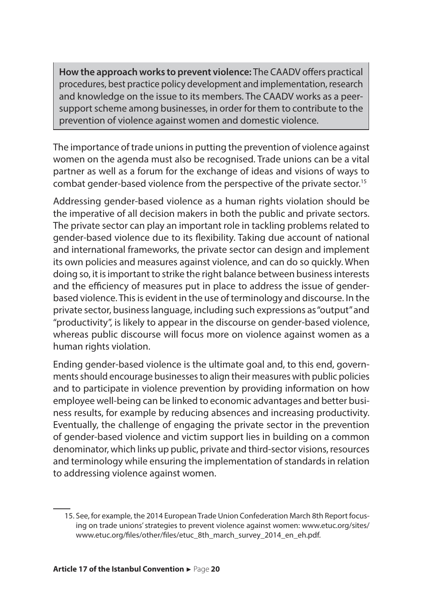**How the approach works to prevent violence:** The CAADV offers practical procedures, best practice policy development and implementation, research and knowledge on the issue to its members. The CAADV works as a peersupport scheme among businesses, in order for them to contribute to the prevention of violence against women and domestic violence.

The importance of trade unions in putting the prevention of violence against women on the agenda must also be recognised. Trade unions can be a vital partner as well as a forum for the exchange of ideas and visions of ways to combat gender-based violence from the perspective of the private sector.<sup>15</sup>

Addressing gender-based violence as a human rights violation should be the imperative of all decision makers in both the public and private sectors. The private sector can play an important role in tackling problems related to gender-based violence due to its flexibility. Taking due account of national and international frameworks, the private sector can design and implement its own policies and measures against violence, and can do so quickly. When doing so, it is important to strike the right balance between business interests and the efficiency of measures put in place to address the issue of genderbased violence. This is evident in the use of terminology and discourse. In the private sector, business language, including such expressions as "output" and "productivity", is likely to appear in the discourse on gender-based violence, whereas public discourse will focus more on violence against women as a human rights violation.

Ending gender-based violence is the ultimate goal and, to this end, governments should encourage businesses to align their measures with public policies and to participate in violence prevention by providing information on how employee well-being can be linked to economic advantages and better business results, for example by reducing absences and increasing productivity. Eventually, the challenge of engaging the private sector in the prevention of gender-based violence and victim support lies in building on a common denominator, which links up public, private and third-sector visions, resources and terminology while ensuring the implementation of standards in relation to addressing violence against women.

<sup>15.</sup> See, for example, the 2014 European Trade Union Confederation March 8th Report focusing on trade unions' strategies to prevent violence against women: www.etuc.org/sites/ www.etuc.org/files/other/files/etuc\_8th\_march\_survey\_2014\_en\_eh.pdf.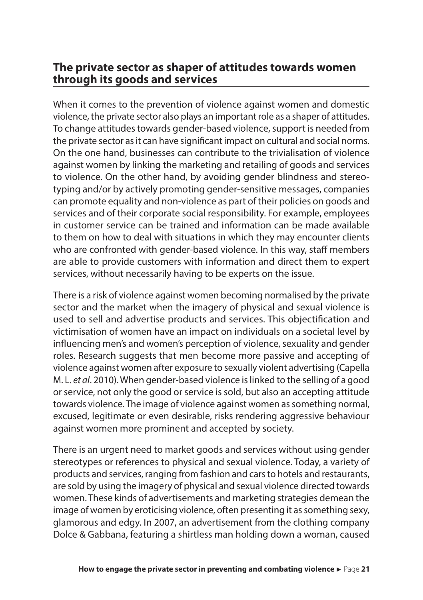#### **The private sector as shaper of attitudes towards women through its goods and services**

When it comes to the prevention of violence against women and domestic violence, the private sector also plays an important role as a shaper of attitudes. To change attitudes towards gender-based violence, support is needed from the private sector as it can have significant impact on cultural and social norms. On the one hand, businesses can contribute to the trivialisation of violence against women by linking the marketing and retailing of goods and services to violence. On the other hand, by avoiding gender blindness and stereotyping and/or by actively promoting gender-sensitive messages, companies can promote equality and non-violence as part of their policies on goods and services and of their corporate social responsibility. For example, employees in customer service can be trained and information can be made available to them on how to deal with situations in which they may encounter clients who are confronted with gender-based violence. In this way, staff members are able to provide customers with information and direct them to expert services, without necessarily having to be experts on the issue.

There is a risk of violence against women becoming normalised by the private sector and the market when the imagery of physical and sexual violence is used to sell and advertise products and services. This objectification and victimisation of women have an impact on individuals on a societal level by influencing men's and women's perception of violence, sexuality and gender roles. Research suggests that men become more passive and accepting of violence against women after exposure to sexually violent advertising (Capella M. L. *et al*. 2010). When gender-based violence is linked to the selling of a good or service, not only the good or service is sold, but also an accepting attitude towards violence. The image of violence against women as something normal, excused, legitimate or even desirable, risks rendering aggressive behaviour against women more prominent and accepted by society.

There is an urgent need to market goods and services without using gender stereotypes or references to physical and sexual violence. Today, a variety of products and services, ranging from fashion and cars to hotels and restaurants, are sold by using the imagery of physical and sexual violence directed towards women. These kinds of advertisements and marketing strategies demean the image of women by eroticising violence, often presenting it as something sexy, glamorous and edgy. In 2007, an advertisement from the clothing company Dolce & Gabbana, featuring a shirtless man holding down a woman, caused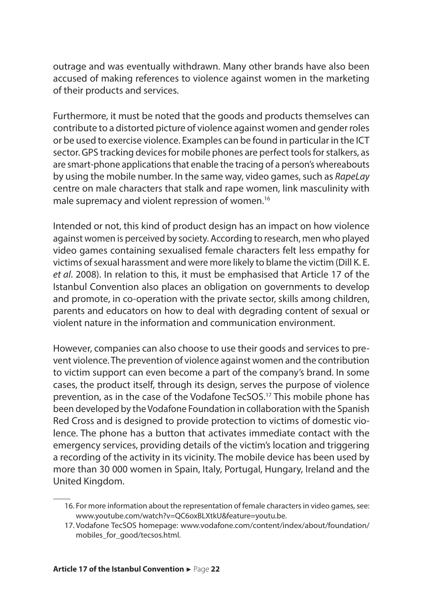outrage and was eventually withdrawn. Many other brands have also been accused of making references to violence against women in the marketing of their products and services.

Furthermore, it must be noted that the goods and products themselves can contribute to a distorted picture of violence against women and gender roles or be used to exercise violence. Examples can be found in particular in the ICT sector. GPS tracking devices for mobile phones are perfect tools for stalkers, as are smart-phone applications that enable the tracing of a person's whereabouts by using the mobile number. In the same way, video games, such as *RapeLay* centre on male characters that stalk and rape women, link masculinity with male supremacy and violent repression of women.<sup>16</sup>

Intended or not, this kind of product design has an impact on how violence against women is perceived by society. According to research, men who played video games containing sexualised female characters felt less empathy for victims of sexual harassment and were more likely to blame the victim (Dill K. E. *et al*. 2008). In relation to this, it must be emphasised that Article 17 of the Istanbul Convention also places an obligation on governments to develop and promote, in co-operation with the private sector, skills among children, parents and educators on how to deal with degrading content of sexual or violent nature in the information and communication environment.

However, companies can also choose to use their goods and services to prevent violence. The prevention of violence against women and the contribution to victim support can even become a part of the company's brand. In some cases, the product itself, through its design, serves the purpose of violence prevention, as in the case of the Vodafone TecSOS.<sup>17</sup> This mobile phone has been developed by the Vodafone Foundation in collaboration with the Spanish Red Cross and is designed to provide protection to victims of domestic violence. The phone has a button that activates immediate contact with the emergency services, providing details of the victim's location and triggering a recording of the activity in its vicinity. The mobile device has been used by more than 30 000 women in Spain, Italy, Portugal, Hungary, Ireland and the United Kingdom.

<sup>16.</sup> For more information about the representation of female characters in video games, see: www.youtube.com/watch?v=QC6oxBLXtkU&feature=youtu.be.

<sup>17.</sup> Vodafone TecSOS homepage: www.vodafone.com/content/index/about/foundation/ mobiles\_for\_good/tecsos.html.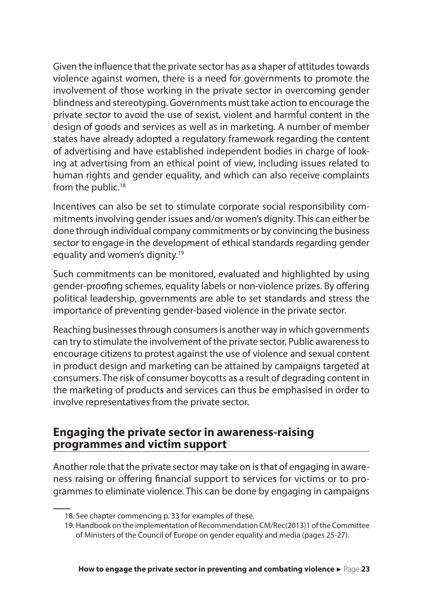Given the influence that the private sector has as a shaper of attitudes towards violence against women, there is a need for governments to promote the involvement of those working in the private sector in overcoming gender blindness and stereotyping. Governments must take action to encourage the private sector to avoid the use of sexist, violent and harmful content in the design of goods and services as well as in marketing. A number of member states have already adopted a regulatory framework regarding the content of advertising and have established independent bodies in charge of looking at advertising from an ethical point of view, including issues related to human rights and gender equality, and which can also receive complaints from the public.<sup>18</sup>

Incentives can also be set to stimulate corporate social responsibility commitments involving gender issues and/or women's dignity. This can either be done through individual company commitments or by convincing the business sector to engage in the development of ethical standards regarding gender equality and women's dignity.<sup>19</sup>

Such commitments can be monitored, evaluated and highlighted by using gender-proofing schemes, equality labels or non-violence prizes. By offering political leadership, governments are able to set standards and stress the importance of preventing gender-based violence in the private sector.

Reaching businesses through consumers is another way in which governments can try to stimulate the involvement of the private sector. Public awareness to encourage citizens to protest against the use of violence and sexual content in product design and marketing can be attained by campaigns targeted at consumers. The risk of consumer boycotts as a result of degrading content in the marketing of products and services can thus be emphasised in order to involve representatives from the private sector.

#### **Engaging the private sector in awareness-raising programmes and victim support**

Another role that the private sector may take on is that of engaging in awareness raising or offering financial support to services for victims or to programmes to eliminate violence. This can be done by engaging in campaigns

<sup>18.</sup> See chapter commencing p. 33 for examples of these.

<sup>19.</sup> Handbook on the implementation of Recommendation CM/Rec(2013)1 of the Committee of Ministers of the Council of Europe on gender equality and media (pages 25-27).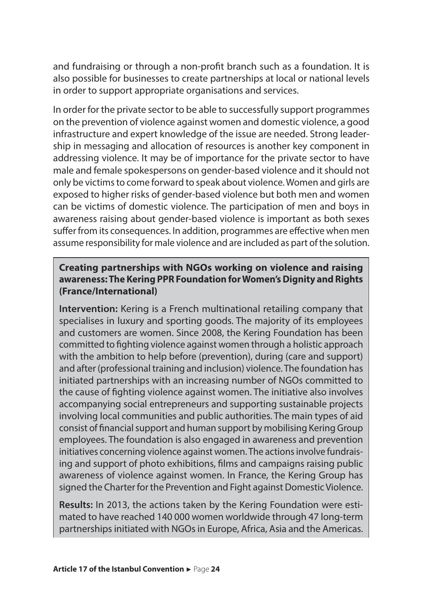and fundraising or through a non-profit branch such as a foundation. It is also possible for businesses to create partnerships at local or national levels in order to support appropriate organisations and services.

In order for the private sector to be able to successfully support programmes on the prevention of violence against women and domestic violence, a good infrastructure and expert knowledge of the issue are needed. Strong leadership in messaging and allocation of resources is another key component in addressing violence. It may be of importance for the private sector to have male and female spokespersons on gender-based violence and it should not only be victims to come forward to speak about violence. Women and girls are exposed to higher risks of gender-based violence but both men and women can be victims of domestic violence. The participation of men and boys in awareness raising about gender-based violence is important as both sexes suffer from its consequences. In addition, programmes are effective when men assume responsibility for male violence and are included as part of the solution.

#### **Creating partnerships with NGOs working on violence and raising awareness: The Kering PPR Foundation for Women's Dignity and Rights (France/International)**

**Intervention:** Kering is a French multinational retailing company that specialises in luxury and sporting goods. The majority of its employees and customers are women. Since 2008, the Kering Foundation has been committed to fighting violence against women through a holistic approach with the ambition to help before (prevention), during (care and support) and after (professional training and inclusion) violence. The foundation has initiated partnerships with an increasing number of NGOs committed to the cause of fighting violence against women. The initiative also involves accompanying social entrepreneurs and supporting sustainable projects involving local communities and public authorities. The main types of aid consist of financial support and human support by mobilising Kering Group employees. The foundation is also engaged in awareness and prevention initiatives concerning violence against women. The actions involve fundraising and support of photo exhibitions, films and campaigns raising public awareness of violence against women. In France, the Kering Group has signed the Charter for the Prevention and Fight against Domestic Violence.

**Results:** In 2013, the actions taken by the Kering Foundation were estimated to have reached 140 000 women worldwide through 47 long-term partnerships initiated with NGOs in Europe, Africa, Asia and the Americas.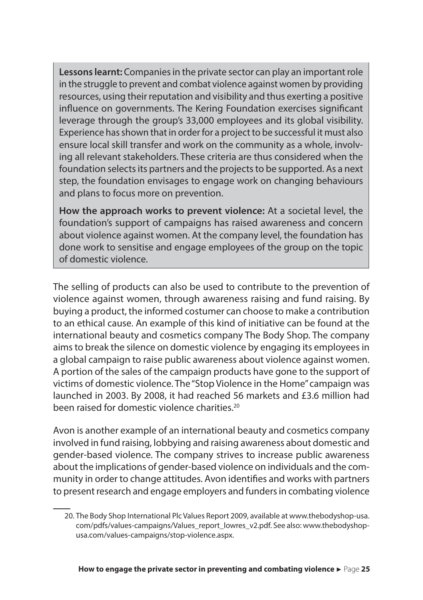**Lessons learnt:** Companies in the private sector can play an important role in the struggle to prevent and combat violence against women by providing resources, using their reputation and visibility and thus exerting a positive influence on governments. The Kering Foundation exercises significant leverage through the group's 33,000 employees and its global visibility. Experience has shown that in order for a project to be successful it must also ensure local skill transfer and work on the community as a whole, involving all relevant stakeholders. These criteria are thus considered when the foundation selects its partners and the projects to be supported. As a next step, the foundation envisages to engage work on changing behaviours and plans to focus more on prevention.

**How the approach works to prevent violence:** At a societal level, the foundation's support of campaigns has raised awareness and concern about violence against women. At the company level, the foundation has done work to sensitise and engage employees of the group on the topic of domestic violence.

The selling of products can also be used to contribute to the prevention of violence against women, through awareness raising and fund raising. By buying a product, the informed costumer can choose to make a contribution to an ethical cause. An example of this kind of initiative can be found at the international beauty and cosmetics company The Body Shop. The company aims to break the silence on domestic violence by engaging its employees in a global campaign to raise public awareness about violence against women. A portion of the sales of the campaign products have gone to the support of victims of domestic violence. The "Stop Violence in the Home" campaign was launched in 2003. By 2008, it had reached 56 markets and £3.6 million had been raised for domestic violence charities<sup>20</sup>

Avon is another example of an international beauty and cosmetics company involved in fund raising, lobbying and raising awareness about domestic and gender-based violence. The company strives to increase public awareness about the implications of gender-based violence on individuals and the community in order to change attitudes. Avon identifies and works with partners to present research and engage employers and funders in combating violence

<sup>20.</sup> The Body Shop International Plc Values Report 2009, available at www.thebodyshop-usa. com/pdfs/values-campaigns/Values\_report\_lowres\_v2.pdf. See also: www.thebodyshopusa.com/values-campaigns/stop-violence.aspx.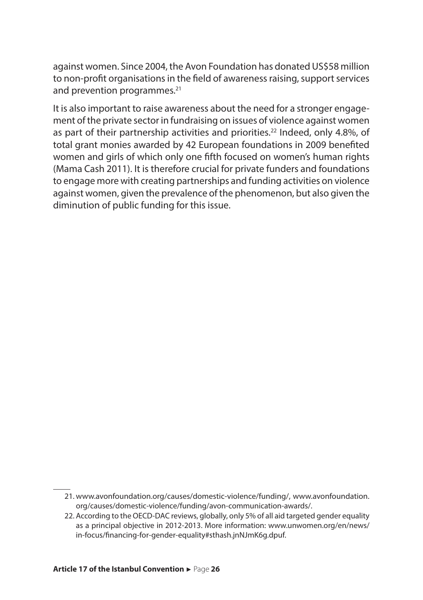against women. Since 2004, the Avon Foundation has donated US\$58 million to non-profit organisations in the field of awareness raising, support services and prevention programmes.<sup>21</sup>

It is also important to raise awareness about the need for a stronger engagement of the private sector in fundraising on issues of violence against women as part of their partnership activities and priorities.<sup>22</sup> Indeed, only 4.8%, of total grant monies awarded by 42 European foundations in 2009 benefited women and girls of which only one fifth focused on women's human rights (Mama Cash 2011). It is therefore crucial for private funders and foundations to engage more with creating partnerships and funding activities on violence against women, given the prevalence of the phenomenon, but also given the diminution of public funding for this issue.

<sup>21.</sup> www.avonfoundation.org/causes/domestic-violence/funding/, www.avonfoundation. org/causes/domestic-violence/funding/avon-communication-awards/.

<sup>22.</sup> According to the OECD-DAC reviews, globally, only 5% of all aid targeted gender equality as a principal objective in 2012-2013. More information: www.unwomen.org/en/news/ in-focus/financing-for-gender-equality#sthash.jnNJmK6g.dpuf.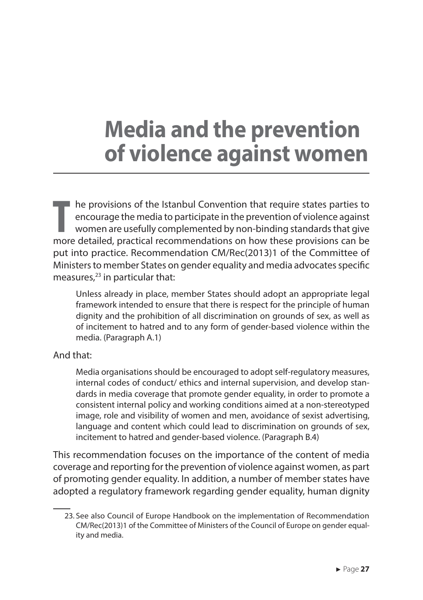## **Media and the prevention of violence against women**

**T** he provisions of the Istanbul Convention that require states parties to encourage the media to participate in the prevention of violence against women are usefully complemented by non-binding standards that give more detailed, practical recommendations on how these provisions can be put into practice. Recommendation CM/Rec(2013)1 of the Committee of Ministers to member States on gender equality and media advocates specific measures, $23$  in particular that:

Unless already in place, member States should adopt an appropriate legal framework intended to ensure that there is respect for the principle of human dignity and the prohibition of all discrimination on grounds of sex, as well as of incitement to hatred and to any form of gender-based violence within the media. (Paragraph A.1)

#### And that:

Media organisations should be encouraged to adopt self-regulatory measures, internal codes of conduct/ ethics and internal supervision, and develop standards in media coverage that promote gender equality, in order to promote a consistent internal policy and working conditions aimed at a non-stereotyped image, role and visibility of women and men, avoidance of sexist advertising, language and content which could lead to discrimination on grounds of sex, incitement to hatred and gender-based violence. (Paragraph B.4)

This recommendation focuses on the importance of the content of media coverage and reporting for the prevention of violence against women, as part of promoting gender equality. In addition, a number of member states have adopted a regulatory framework regarding gender equality, human dignity

<sup>23.</sup> See also Council of Europe Handbook on the implementation of Recommendation CM/Rec(2013)1 of the Committee of Ministers of the Council of Europe on gender equality and media.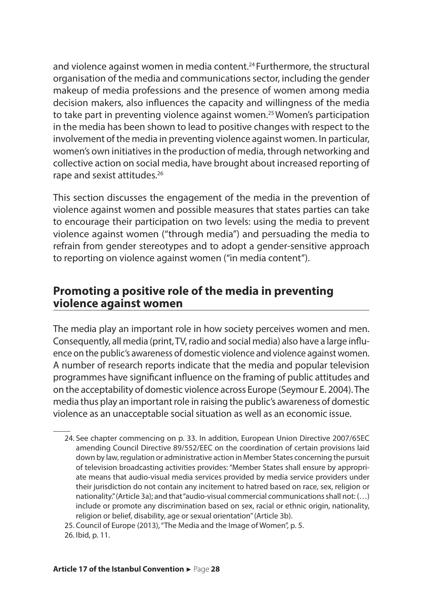and violence against women in media content.<sup>24</sup> Furthermore, the structural organisation of the media and communications sector, including the gender makeup of media professions and the presence of women among media decision makers, also influences the capacity and willingness of the media to take part in preventing violence against women.<sup>25</sup>Women's participation in the media has been shown to lead to positive changes with respect to the involvement of the media in preventing violence against women. In particular, women's own initiatives in the production of media, through networking and collective action on social media, have brought about increased reporting of rape and sexist attitudes.<sup>26</sup>

This section discusses the engagement of the media in the prevention of violence against women and possible measures that states parties can take to encourage their participation on two levels: using the media to prevent violence against women ("through media") and persuading the media to refrain from gender stereotypes and to adopt a gender-sensitive approach to reporting on violence against women ("in media content").

#### **Promoting a positive role of the media in preventing violence against women**

The media play an important role in how society perceives women and men. Consequently, all media (print, TV, radio and social media) also have a large influence on the public's awareness of domestic violence and violence against women. A number of research reports indicate that the media and popular television programmes have significant influence on the framing of public attitudes and on the acceptability of domestic violence across Europe (Seymour E. 2004). The media thus play an important role in raising the public's awareness of domestic violence as an unacceptable social situation as well as an economic issue.

25. Council of Europe (2013), "The Media and the Image of Women", p. 5.

26. Ibid, p. 11.

<sup>24.</sup> See chapter commencing on p. 33. In addition, European Union Directive 2007/65EC amending Council Directive 89/552/EEC on the coordination of certain provisions laid down by law, regulation or administrative action in Member States concerning the pursuit of television broadcasting activities provides: "Member States shall ensure by appropriate means that audio-visual media services provided by media service providers under their jurisdiction do not contain any incitement to hatred based on race, sex, religion or nationality." (Article 3a); and that "audio-visual commercial communications shall not: (…) include or promote any discrimination based on sex, racial or ethnic origin, nationality, religion or belief, disability, age or sexual orientation" (Article 3b).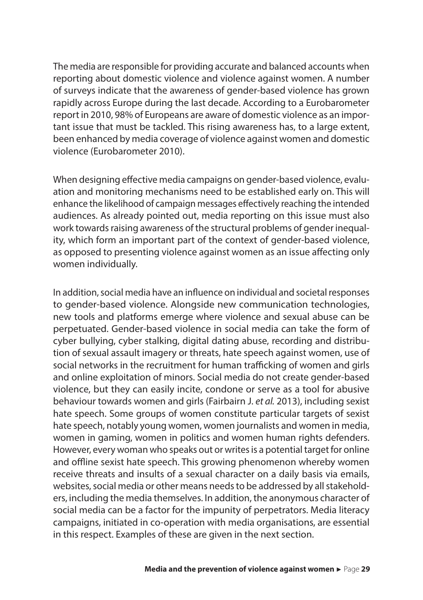The media are responsible for providing accurate and balanced accounts when reporting about domestic violence and violence against women. A number of surveys indicate that the awareness of gender-based violence has grown rapidly across Europe during the last decade. According to a Eurobarometer report in 2010, 98% of Europeans are aware of domestic violence as an important issue that must be tackled. This rising awareness has, to a large extent, been enhanced by media coverage of violence against women and domestic violence (Eurobarometer 2010).

When designing effective media campaigns on gender-based violence, evaluation and monitoring mechanisms need to be established early on. This will enhance the likelihood of campaign messages effectively reaching the intended audiences. As already pointed out, media reporting on this issue must also work towards raising awareness of the structural problems of gender inequality, which form an important part of the context of gender-based violence, as opposed to presenting violence against women as an issue affecting only women individually.

In addition, social media have an influence on individual and societal responses to gender-based violence. Alongside new communication technologies, new tools and platforms emerge where violence and sexual abuse can be perpetuated. Gender-based violence in social media can take the form of cyber bullying, cyber stalking, digital dating abuse, recording and distribution of sexual assault imagery or threats, hate speech against women, use of social networks in the recruitment for human trafficking of women and girls and online exploitation of minors. Social media do not create gender-based violence, but they can easily incite, condone or serve as a tool for abusive behaviour towards women and girls (Fairbairn J. *et al.* 2013), including sexist hate speech. Some groups of women constitute particular targets of sexist hate speech, notably young women, women journalists and women in media, women in gaming, women in politics and women human rights defenders. However, every woman who speaks out or writes is a potential target for online and offline sexist hate speech. This growing phenomenon whereby women receive threats and insults of a sexual character on a daily basis via emails, websites, social media or other means needs to be addressed by all stakeholders, including the media themselves. In addition, the anonymous character of social media can be a factor for the impunity of perpetrators. Media literacy campaigns, initiated in co-operation with media organisations, are essential in this respect. Examples of these are given in the next section.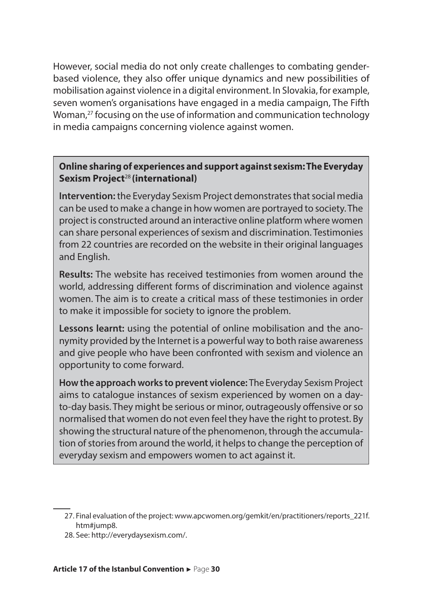However, social media do not only create challenges to combating genderbased violence, they also offer unique dynamics and new possibilities of mobilisation against violence in a digital environment. In Slovakia, for example, seven women's organisations have engaged in a media campaign, The Fifth Woman,<sup>27</sup> focusing on the use of information and communication technology in media campaigns concerning violence against women.

#### **Online sharing of experiences and support against sexism: The Everyday Sexism Project**<sup>28</sup> **(international)**

**Intervention:** the Everyday Sexism Project demonstrates that social media can be used to make a change in how women are portrayed to society. The project is constructed around an interactive online platform where women can share personal experiences of sexism and discrimination. Testimonies from 22 countries are recorded on the website in their original languages and English.

**Results:** The website has received testimonies from women around the world, addressing different forms of discrimination and violence against women. The aim is to create a critical mass of these testimonies in order to make it impossible for society to ignore the problem.

**Lessons learnt:** using the potential of online mobilisation and the anonymity provided by the Internet is a powerful way to both raise awareness and give people who have been confronted with sexism and violence an opportunity to come forward.

**How the approach works to prevent violence:** The Everyday Sexism Project aims to catalogue instances of sexism experienced by women on a dayto-day basis. They might be serious or minor, outrageously offensive or so normalised that women do not even feel they have the right to protest. By showing the structural nature of the phenomenon, through the accumulation of stories from around the world, it helps to change the perception of everyday sexism and empowers women to act against it.

28. See: http://everydaysexism.com/.

<sup>27.</sup> Final evaluation of the project: www.apcwomen.org/gemkit/en/practitioners/reports\_221f. htm#jump8.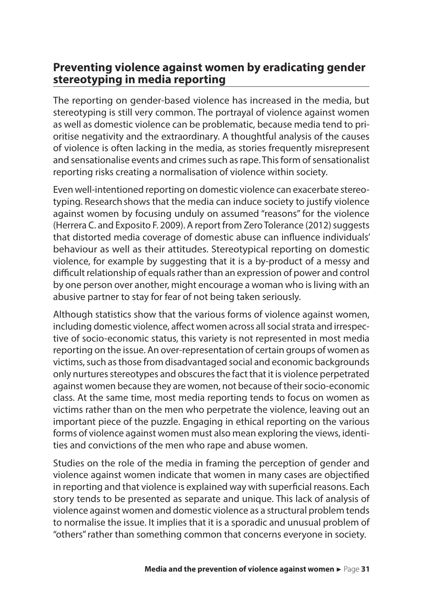#### **Preventing violence against women by eradicating gender stereotyping in media reporting**

The reporting on gender-based violence has increased in the media, but stereotyping is still very common. The portrayal of violence against women as well as domestic violence can be problematic, because media tend to prioritise negativity and the extraordinary. A thoughtful analysis of the causes of violence is often lacking in the media, as stories frequently misrepresent and sensationalise events and crimes such as rape. This form of sensationalist reporting risks creating a normalisation of violence within society.

Even well-intentioned reporting on domestic violence can exacerbate stereotyping. Research shows that the media can induce society to justify violence against women by focusing unduly on assumed "reasons" for the violence (Herrera C. and Exposito F. 2009). A report from Zero Tolerance (2012) suggests that distorted media coverage of domestic abuse can influence individuals' behaviour as well as their attitudes. Stereotypical reporting on domestic violence, for example by suggesting that it is a by-product of a messy and difficult relationship of equals rather than an expression of power and control by one person over another, might encourage a woman who is living with an abusive partner to stay for fear of not being taken seriously.

Although statistics show that the various forms of violence against women, including domestic violence, affect women across all social strata and irrespective of socio-economic status, this variety is not represented in most media reporting on the issue. An over-representation of certain groups of women as victims, such as those from disadvantaged social and economic backgrounds only nurtures stereotypes and obscures the fact that it is violence perpetrated against women because they are women, not because of their socio-economic class. At the same time, most media reporting tends to focus on women as victims rather than on the men who perpetrate the violence, leaving out an important piece of the puzzle. Engaging in ethical reporting on the various forms of violence against women must also mean exploring the views, identities and convictions of the men who rape and abuse women.

Studies on the role of the media in framing the perception of gender and violence against women indicate that women in many cases are objectified in reporting and that violence is explained way with superficial reasons. Each story tends to be presented as separate and unique. This lack of analysis of violence against women and domestic violence as a structural problem tends to normalise the issue. It implies that it is a sporadic and unusual problem of "others" rather than something common that concerns everyone in society.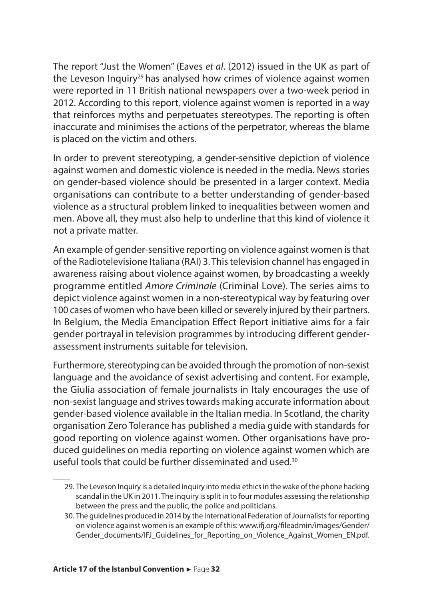The report "Just the Women" (Eaves *et al*. (2012) issued in the UK as part of the Leveson Inquiry<sup>29</sup> has analysed how crimes of violence against women were reported in 11 British national newspapers over a two-week period in 2012. According to this report, violence against women is reported in a way that reinforces myths and perpetuates stereotypes. The reporting is often inaccurate and minimises the actions of the perpetrator, whereas the blame is placed on the victim and others.

In order to prevent stereotyping, a gender-sensitive depiction of violence against women and domestic violence is needed in the media. News stories on gender-based violence should be presented in a larger context. Media organisations can contribute to a better understanding of gender-based violence as a structural problem linked to inequalities between women and men. Above all, they must also help to underline that this kind of violence it not a private matter.

An example of gender-sensitive reporting on violence against women is that of the Radiotelevisione Italiana (RAI) 3. This television channel has engaged in awareness raising about violence against women, by broadcasting a weekly programme entitled *Amore Criminale* (Criminal Love). The series aims to depict violence against women in a non-stereotypical way by featuring over 100 cases of women who have been killed or severely injured by their partners. In Belgium, the Media Emancipation Effect Report initiative aims for a fair gender portrayal in television programmes by introducing different genderassessment instruments suitable for television.

Furthermore, stereotyping can be avoided through the promotion of non-sexist language and the avoidance of sexist advertising and content. For example, the Giulia association of female journalists in Italy encourages the use of non-sexist language and strives towards making accurate information about gender-based violence available in the Italian media. In Scotland, the charity organisation Zero Tolerance has published a media guide with standards for good reporting on violence against women. Other organisations have produced guidelines on media reporting on violence against women which are useful tools that could be further disseminated and used  $30$ .

<sup>29.</sup> The Leveson Inquiry is a detailed inquiry into media ethics in the wake of the phone hacking scandal in the UK in 2011. The inquiry is split in to four modules assessing the relationship between the press and the public, the police and politicians.

<sup>30.</sup> The guidelines produced in 2014 by the International Federation of Journalists for reporting on violence against women is an example of this: www.ifj.org/fileadmin/images/Gender/ Gender\_documents/IFJ\_Guidelines\_for\_Reporting\_on\_Violence\_Against\_Women\_EN.pdf.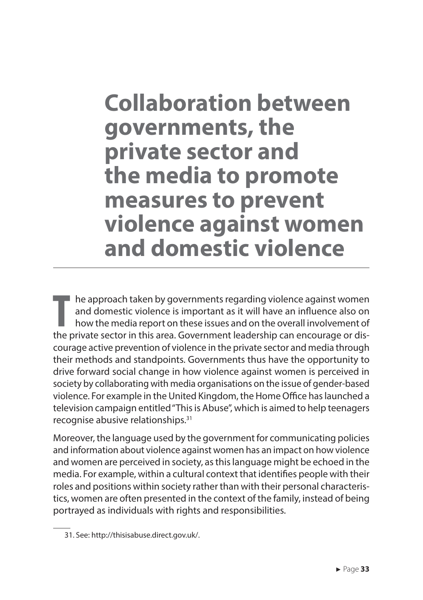### **Collaboration between governments, the private sector and the media to promote measures to prevent violence against women and domestic violence**

**T** he approach taken by governments regarding violence against women and domestic violence is important as it will have an influence also on how the media report on these issues and on the overall involvement of the private sector in this area. Government leadership can encourage or discourage active prevention of violence in the private sector and media through their methods and standpoints. Governments thus have the opportunity to drive forward social change in how violence against women is perceived in society by collaborating with media organisations on the issue of gender-based violence. For example in the United Kingdom, the Home Office has launched a television campaign entitled "This is Abuse", which is aimed to help teenagers recognise abusive relationships.<sup>31</sup>

Moreover, the language used by the government for communicating policies and information about violence against women has an impact on how violence and women are perceived in society, as this language might be echoed in the media. For example, within a cultural context that identifies people with their roles and positions within society rather than with their personal characteristics, women are often presented in the context of the family, instead of being portrayed as individuals with rights and responsibilities.

<sup>31.</sup> See: http://thisisabuse.direct.gov.uk/.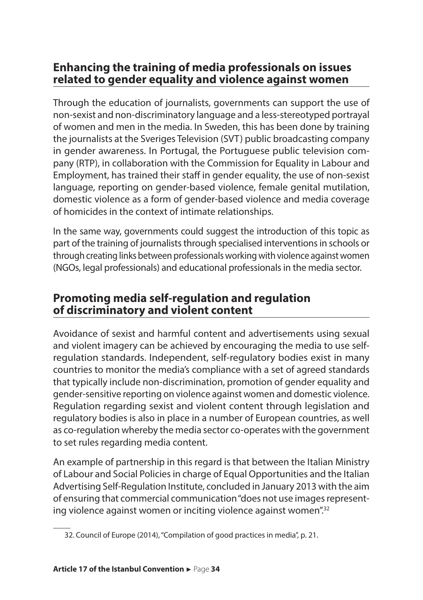#### **Enhancing the training of media professionals on issues related to gender equality and violence against women**

Through the education of journalists, governments can support the use of non-sexist and non-discriminatory language and a less-stereotyped portrayal of women and men in the media. In Sweden, this has been done by training the journalists at the Sveriges Television (SVT) public broadcasting company in gender awareness. In Portugal, the Portuguese public television company (RTP), in collaboration with the Commission for Equality in Labour and Employment, has trained their staff in gender equality, the use of non-sexist language, reporting on gender-based violence, female genital mutilation, domestic violence as a form of gender-based violence and media coverage of homicides in the context of intimate relationships.

In the same way, governments could suggest the introduction of this topic as part of the training of journalists through specialised interventions in schools or through creating links between professionals working with violence against women (NGOs, legal professionals) and educational professionals in the media sector.

#### **Promoting media self-regulation and regulation of discriminatory and violent content**

Avoidance of sexist and harmful content and advertisements using sexual and violent imagery can be achieved by encouraging the media to use selfregulation standards. Independent, self-regulatory bodies exist in many countries to monitor the media's compliance with a set of agreed standards that typically include non-discrimination, promotion of gender equality and gender-sensitive reporting on violence against women and domestic violence. Regulation regarding sexist and violent content through legislation and regulatory bodies is also in place in a number of European countries, as well as co-regulation whereby the media sector co-operates with the government to set rules regarding media content.

An example of partnership in this regard is that between the Italian Ministry of Labour and Social Policies in charge of Equal Opportunities and the Italian Advertising Self-Regulation Institute, concluded in January 2013 with the aim of ensuring that commercial communication "does not use images representing violence against women or inciting violence against women".<sup>32</sup>

<sup>32.</sup> Council of Europe (2014), "Compilation of good practices in media", p. 21.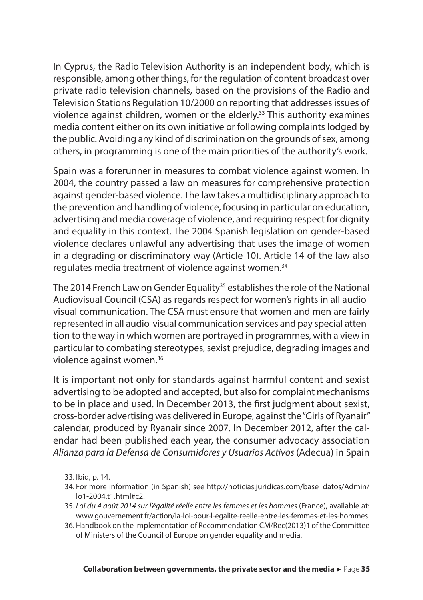In Cyprus, the Radio Television Authority is an independent body, which is responsible, among other things, for the regulation of content broadcast over private radio television channels, based on the provisions of the Radio and Television Stations Regulation 10/2000 on reporting that addresses issues of violence against children, women or the elderly.<sup>33</sup> This authority examines media content either on its own initiative or following complaints lodged by the public. Avoiding any kind of discrimination on the grounds of sex, among others, in programming is one of the main priorities of the authority's work.

Spain was a forerunner in measures to combat violence against women. In 2004, the country passed a law on measures for comprehensive protection against gender-based violence. The law takes a multidisciplinary approach to the prevention and handling of violence, focusing in particular on education, advertising and media coverage of violence, and requiring respect for dignity and equality in this context. The 2004 Spanish legislation on gender-based violence declares unlawful any advertising that uses the image of women in a degrading or discriminatory way (Article 10). Article 14 of the law also regulates media treatment of violence against women.<sup>34</sup>

The 2014 French Law on Gender Equality<sup>35</sup> establishes the role of the National Audiovisual Council (CSA) as regards respect for women's rights in all audiovisual communication. The CSA must ensure that women and men are fairly represented in all audio-visual communication services and pay special attention to the way in which women are portrayed in programmes, with a view in particular to combating stereotypes, sexist prejudice, degrading images and violence against women.<sup>36</sup>

It is important not only for standards against harmful content and sexist advertising to be adopted and accepted, but also for complaint mechanisms to be in place and used. In December 2013, the first judgment about sexist, cross-border advertising was delivered in Europe, against the "Girls of Ryanair" calendar, produced by Ryanair since 2007. In December 2012, after the calendar had been published each year, the consumer advocacy association *Alianza para la Defensa de Consumidores y Usuarios Activos* (Adecua) in Spain

- 35. *Loi du 4 août 2014 sur l'égalité réelle entre les femmes et les hommes* (France), available at: www.gouvernement.fr/action/la-loi-pour-l-egalite-reelle-entre-les-femmes-et-les-hommes.
- 36. Handbook on the implementation of Recommendation CM/Rec(2013)1 of the Committee of Ministers of the Council of Europe on gender equality and media.

<sup>33.</sup> Ibid, p. 14.

<sup>34.</sup> For more information (in Spanish) see http://noticias.juridicas.com/base\_datos/Admin/ lo1-2004.t1.html#c2.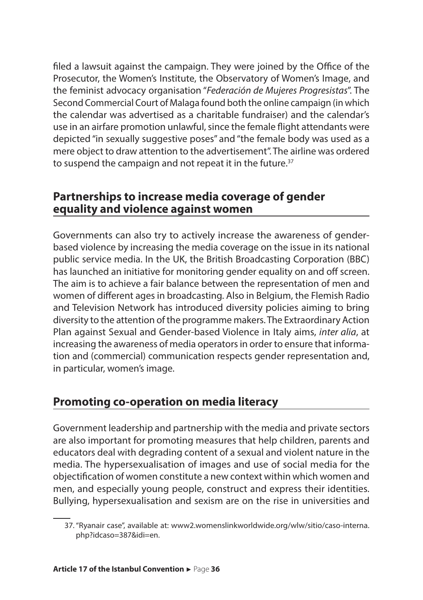filed a lawsuit against the campaign. They were joined by the Office of the Prosecutor, the Women's Institute, the Observatory of Women's Image, and the feminist advocacy organisation "*Federación de Mujeres Progresistas*". The Second Commercial Court of Malaga found both the online campaign (in which the calendar was advertised as a charitable fundraiser) and the calendar's use in an airfare promotion unlawful, since the female flight attendants were depicted "in sexually suggestive poses" and "the female body was used as a mere object to draw attention to the advertisement". The airline was ordered to suspend the campaign and not repeat it in the future.<sup>37</sup>

#### **Partnerships to increase media coverage of gender equality and violence against women**

Governments can also try to actively increase the awareness of genderbased violence by increasing the media coverage on the issue in its national public service media. In the UK, the British Broadcasting Corporation (BBC) has launched an initiative for monitoring gender equality on and off screen. The aim is to achieve a fair balance between the representation of men and women of different ages in broadcasting. Also in Belgium, the Flemish Radio and Television Network has introduced diversity policies aiming to bring diversity to the attention of the programme makers. The Extraordinary Action Plan against Sexual and Gender-based Violence in Italy aims, *inter alia*, at increasing the awareness of media operators in order to ensure that information and (commercial) communication respects gender representation and, in particular, women's image.

#### **Promoting co-operation on media literacy**

Government leadership and partnership with the media and private sectors are also important for promoting measures that help children, parents and educators deal with degrading content of a sexual and violent nature in the media. The hypersexualisation of images and use of social media for the objectification of women constitute a new context within which women and men, and especially young people, construct and express their identities. Bullying, hypersexualisation and sexism are on the rise in universities and

<sup>37.&</sup>quot;Ryanair case", available at: www2.womenslinkworldwide.org/wlw/sitio/caso-interna. php?idcaso=387&idi=en.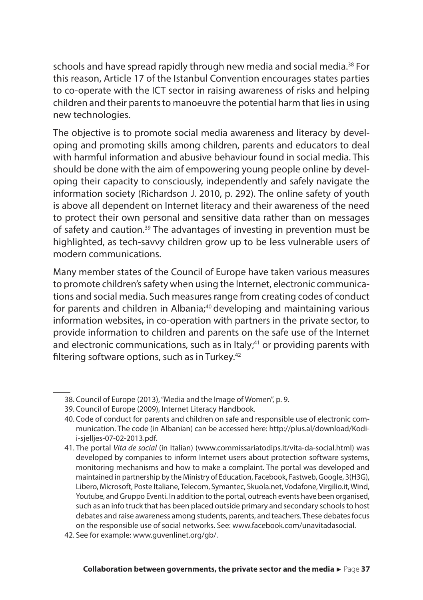schools and have spread rapidly through new media and social media.<sup>38</sup> For this reason, Article 17 of the Istanbul Convention encourages states parties to co-operate with the ICT sector in raising awareness of risks and helping children and their parents to manoeuvre the potential harm that lies in using new technologies.

The objective is to promote social media awareness and literacy by developing and promoting skills among children, parents and educators to deal with harmful information and abusive behaviour found in social media. This should be done with the aim of empowering young people online by developing their capacity to consciously, independently and safely navigate the information society (Richardson J. 2010, p. 292). The online safety of youth is above all dependent on Internet literacy and their awareness of the need to protect their own personal and sensitive data rather than on messages of safety and caution.<sup>39</sup> The advantages of investing in prevention must be highlighted, as tech-savvy children grow up to be less vulnerable users of modern communications.

Many member states of the Council of Europe have taken various measures to promote children's safety when using the Internet, electronic communications and social media. Such measures range from creating codes of conduct for parents and children in Albania;<sup>40</sup> developing and maintaining various information websites, in co-operation with partners in the private sector, to provide information to children and parents on the safe use of the Internet and electronic communications, such as in Italy;<sup>41</sup> or providing parents with filtering software options, such as in Turkey.<sup>42</sup>

<sup>38.</sup> Council of Europe (2013), "Media and the Image of Women", p. 9.

<sup>39.</sup> Council of Europe (2009), Internet Literacy Handbook.

<sup>40.</sup> Code of conduct for parents and children on safe and responsible use of electronic communication. The code (in Albanian) can be accessed here: http://plus.al/download/Kodii-sjelljes-07-02-2013.pdf.

<sup>41.</sup> The portal *Vita de social* (in Italian) (www.commissariatodips.it/vita-da-social.html) was developed by companies to inform Internet users about protection software systems, monitoring mechanisms and how to make a complaint. The portal was developed and maintained in partnership by the Ministry of Education, Facebook, Fastweb, Google, 3(H3G), Libero, Microsoft, Poste Italiane, Telecom, Symantec, Skuola.net, Vodafone, Virgilio.it, Wind, Youtube, and Gruppo Eventi. In addition to the portal, outreach events have been organised, such as an info truck that has been placed outside primary and secondary schools to host debates and raise awareness among students, parents, and teachers. These debates focus on the responsible use of social networks. See: www.facebook.com/unavitadasocial.

<sup>42.</sup> See for example: www.guvenlinet.org/gb/.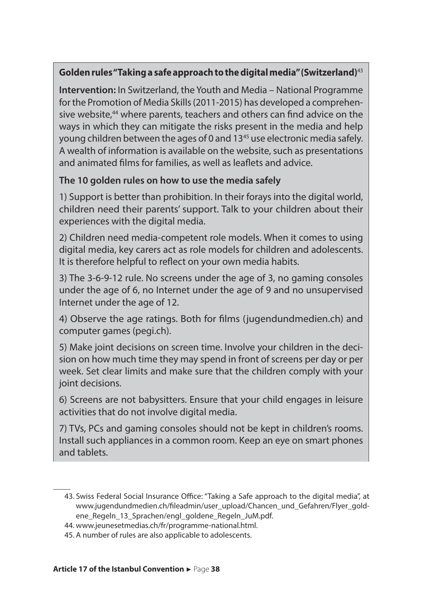#### **Golden rules "Taking a safe approach to the digital media" (Switzerland)**<sup>43</sup>

**Intervention:** In Switzerland, the Youth and Media – National Programme for the Promotion of Media Skills (2011-2015) has developed a comprehensive website.<sup>44</sup> where parents, teachers and others can find advice on the ways in which they can mitigate the risks present in the media and help young children between the ages of 0 and 13<sup>45</sup> use electronic media safely. A wealth of information is available on the website, such as presentations and animated films for families, as well as leaflets and advice.

#### **The 10 golden rules on how to use the media safely**

1) Support is better than prohibition. In their forays into the digital world, children need their parents' support. Talk to your children about their experiences with the digital media.

2) Children need media-competent role models. When it comes to using digital media, key carers act as role models for children and adolescents. It is therefore helpful to reflect on your own media habits.

3) The 3-6-9-12 rule. No screens under the age of 3, no gaming consoles under the age of 6, no Internet under the age of 9 and no unsupervised Internet under the age of 12.

4) Observe the age ratings. Both for films (jugendundmedien.ch) and computer games (pegi.ch).

5) Make joint decisions on screen time. Involve your children in the decision on how much time they may spend in front of screens per day or per week. Set clear limits and make sure that the children comply with your joint decisions.

6) Screens are not babysitters. Ensure that your child engages in leisure activities that do not involve digital media.

7) TVs, PCs and gaming consoles should not be kept in children's rooms. Install such appliances in a common room. Keep an eye on smart phones and tablets.

<sup>43.</sup> Swiss Federal Social Insurance Office: "Taking a Safe approach to the digital media", at www.jugendundmedien.ch/fileadmin/user\_upload/Chancen\_und\_Gefahren/Flyer\_goldene\_Regeln\_13\_Sprachen/engl\_goldene\_Regeln\_JuM.pdf.

<sup>44.</sup> www.jeunesetmedias.ch/fr/programme-national.html.

<sup>45.</sup> A number of rules are also applicable to adolescents.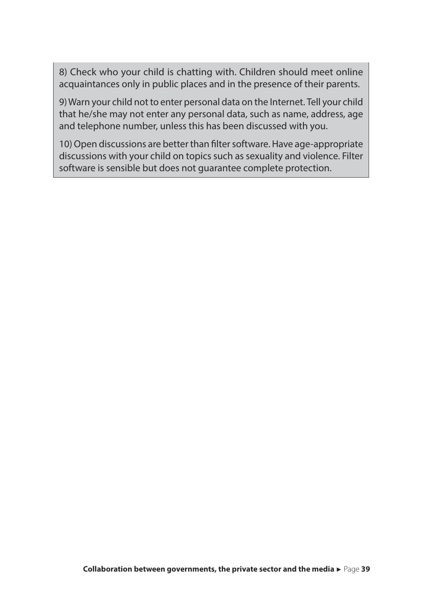8) Check who your child is chatting with. Children should meet online acquaintances only in public places and in the presence of their parents.

9) Warn your child not to enter personal data on the Internet. Tell your child that he/she may not enter any personal data, such as name, address, age and telephone number, unless this has been discussed with you.

10) Open discussions are better than filter software.Have age-appropriate discussions with your child on topics such as sexuality and violence. Filter software is sensible but does not guarantee complete protection.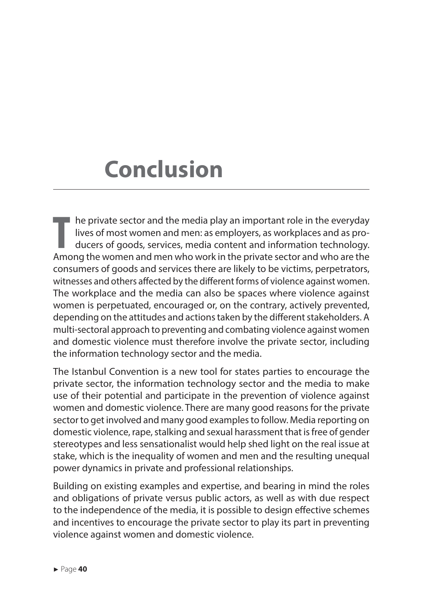## **Conclusion**

**T**  $\blacksquare$  he private sector and the media play an important role in the everyday lives of most women and men: as employers, as workplaces and as producers of goods, services, media content and information technology. Among the women and men who work in the private sector and who are the consumers of goods and services there are likely to be victims, perpetrators, witnesses and others affected by the different forms of violence against women. The workplace and the media can also be spaces where violence against women is perpetuated, encouraged or, on the contrary, actively prevented, depending on the attitudes and actions taken by the different stakeholders. A multi-sectoral approach to preventing and combating violence against women and domestic violence must therefore involve the private sector, including the information technology sector and the media.

The Istanbul Convention is a new tool for states parties to encourage the private sector, the information technology sector and the media to make use of their potential and participate in the prevention of violence against women and domestic violence. There are many good reasons for the private sector to get involved and many good examples to follow. Media reporting on domestic violence, rape, stalking and sexual harassment that is free of gender stereotypes and less sensationalist would help shed light on the real issue at stake, which is the inequality of women and men and the resulting unequal power dynamics in private and professional relationships.

Building on existing examples and expertise, and bearing in mind the roles and obligations of private versus public actors, as well as with due respect to the independence of the media, it is possible to design effective schemes and incentives to encourage the private sector to play its part in preventing violence against women and domestic violence.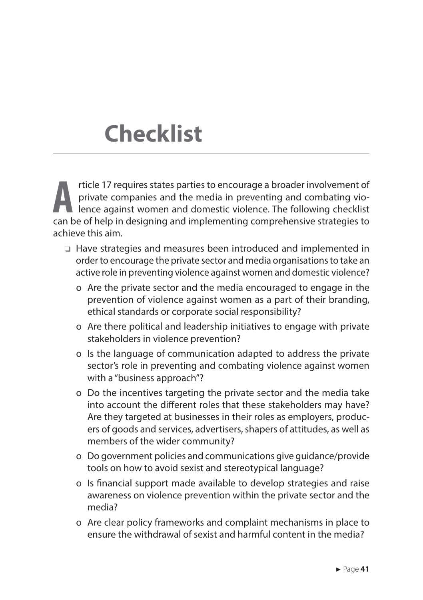## **Checklist**

**A** rticle 17 requires states parties to encourage a broader involvement of private companies and the media in preventing and combating vio- $\blacksquare$  lence against women and domestic violence. The following checklist can be of help in designing and implementing comprehensive strategies to achieve this aim.

- ❏ Have strategies and measures been introduced and implemented in order to encourage the private sector and media organisations to take an active role in preventing violence against women and domestic violence?
	- o Are the private sector and the media encouraged to engage in the prevention of violence against women as a part of their branding, ethical standards or corporate social responsibility?
	- o Are there political and leadership initiatives to engage with private stakeholders in violence prevention?
	- o Is the language of communication adapted to address the private sector's role in preventing and combating violence against women with a "business approach"?
	- o Do the incentives targeting the private sector and the media take into account the different roles that these stakeholders may have? Are they targeted at businesses in their roles as employers, producers of goods and services, advertisers, shapers of attitudes, as well as members of the wider community?
	- o Do government policies and communications give guidance/provide tools on how to avoid sexist and stereotypical language?
	- o Is financial support made available to develop strategies and raise awareness on violence prevention within the private sector and the media?
	- o Are clear policy frameworks and complaint mechanisms in place to ensure the withdrawal of sexist and harmful content in the media?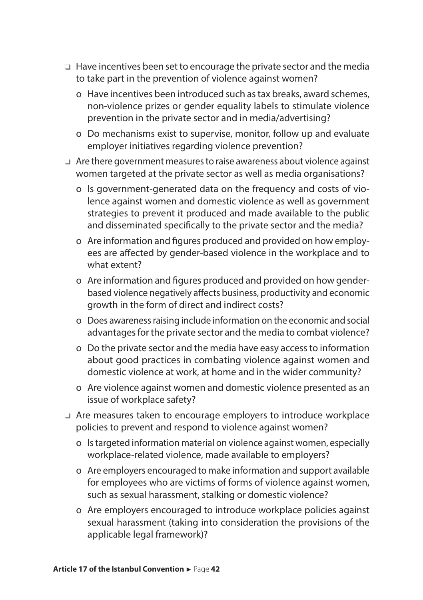- ❏ Have incentives been set to encourage the private sector and the media to take part in the prevention of violence against women?
	- o Have incentives been introduced such as tax breaks, award schemes, non-violence prizes or gender equality labels to stimulate violence prevention in the private sector and in media/advertising?
	- o Do mechanisms exist to supervise, monitor, follow up and evaluate employer initiatives regarding violence prevention?
- ❏ Are there government measures to raise awareness about violence against women targeted at the private sector as well as media organisations?
	- o Is government-generated data on the frequency and costs of violence against women and domestic violence as well as government strategies to prevent it produced and made available to the public and disseminated specifically to the private sector and the media?
	- o Are information and figures produced and provided on how employees are affected by gender-based violence in the workplace and to what extent?
	- o Are information and figures produced and provided on how genderbased violence negatively affects business, productivity and economic growth in the form of direct and indirect costs?
	- o Does awareness raising include information on the economic and social advantages for the private sector and the media to combat violence?
	- o Do the private sector and the media have easy access to information about good practices in combating violence against women and domestic violence at work, at home and in the wider community?
	- o Are violence against women and domestic violence presented as an issue of workplace safety?
- ❏ Are measures taken to encourage employers to introduce workplace policies to prevent and respond to violence against women?
	- o Is targeted information material on violence against women, especially workplace-related violence, made available to employers?
	- o Are employers encouraged to make information and support available for employees who are victims of forms of violence against women, such as sexual harassment, stalking or domestic violence?
	- o Are employers encouraged to introduce workplace policies against sexual harassment (taking into consideration the provisions of the applicable legal framework)?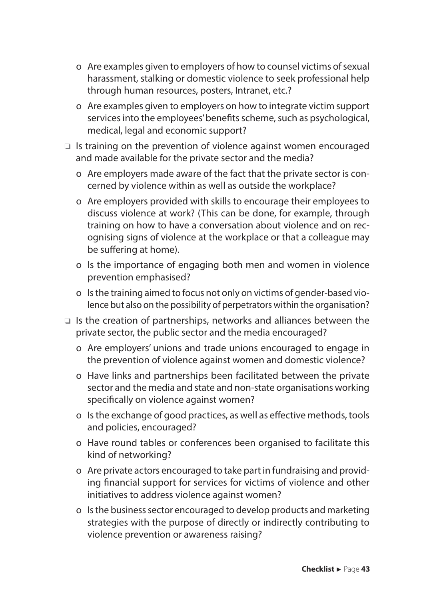- o Are examples given to employers of how to counsel victims of sexual harassment, stalking or domestic violence to seek professional help through human resources, posters, Intranet, etc.?
- o Are examples given to employers on how to integrate victim support services into the employees' benefits scheme, such as psychological, medical, legal and economic support?
- ❏ Is training on the prevention of violence against women encouraged and made available for the private sector and the media?
	- o Are employers made aware of the fact that the private sector is concerned by violence within as well as outside the workplace?
	- o Are employers provided with skills to encourage their employees to discuss violence at work? (This can be done, for example, through training on how to have a conversation about violence and on recognising signs of violence at the workplace or that a colleague may be suffering at home).
	- o Is the importance of engaging both men and women in violence prevention emphasised?
	- o Is the training aimed to focus not only on victims of gender-based violence but also on the possibility of perpetrators within the organisation?
- ❏ Is the creation of partnerships, networks and alliances between the private sector, the public sector and the media encouraged?
	- o Are employers' unions and trade unions encouraged to engage in the prevention of violence against women and domestic violence?
	- o Have links and partnerships been facilitated between the private sector and the media and state and non-state organisations working specifically on violence against women?
	- o Is the exchange of good practices, as well as effective methods, tools and policies, encouraged?
	- o Have round tables or conferences been organised to facilitate this kind of networking?
	- o Are private actors encouraged to take part in fundraising and providing financial support for services for victims of violence and other initiatives to address violence against women?
	- o Is the business sector encouraged to develop products and marketing strategies with the purpose of directly or indirectly contributing to violence prevention or awareness raising?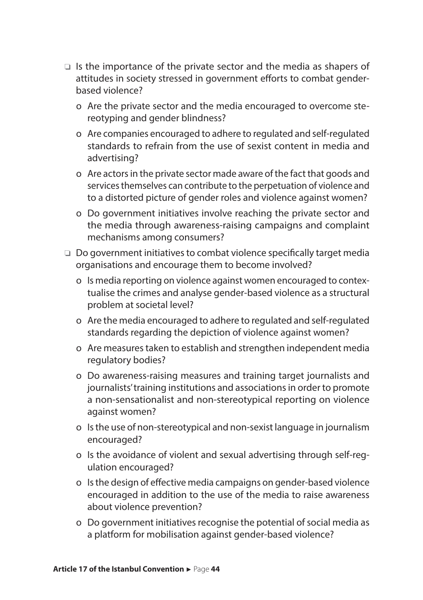- ❏ Is the importance of the private sector and the media as shapers of attitudes in society stressed in government efforts to combat genderbased violence?
	- o Are the private sector and the media encouraged to overcome stereotyping and gender blindness?
	- o Are companies encouraged to adhere to regulated and self-regulated standards to refrain from the use of sexist content in media and advertising?
	- o Are actors in the private sector made aware of the fact that goods and services themselves can contribute to the perpetuation of violence and to a distorted picture of gender roles and violence against women?
	- o Do government initiatives involve reaching the private sector and the media through awareness-raising campaigns and complaint mechanisms among consumers?
- ❏ Do government initiatives to combat violence specifically target media organisations and encourage them to become involved?
	- o Is media reporting on violence against women encouraged to contextualise the crimes and analyse gender-based violence as a structural problem at societal level?
	- o Are the media encouraged to adhere to regulated and self-regulated standards regarding the depiction of violence against women?
	- o Are measures taken to establish and strengthen independent media regulatory bodies?
	- o Do awareness-raising measures and training target journalists and journalists' training institutions and associations in order to promote a non-sensationalist and non-stereotypical reporting on violence against women?
	- o Is the use of non-stereotypical and non-sexist language in journalism encouraged?
	- o Is the avoidance of violent and sexual advertising through self-regulation encouraged?
	- o Is the design of effective media campaigns on gender-based violence encouraged in addition to the use of the media to raise awareness about violence prevention?
	- o Do government initiatives recognise the potential of social media as a platform for mobilisation against gender-based violence?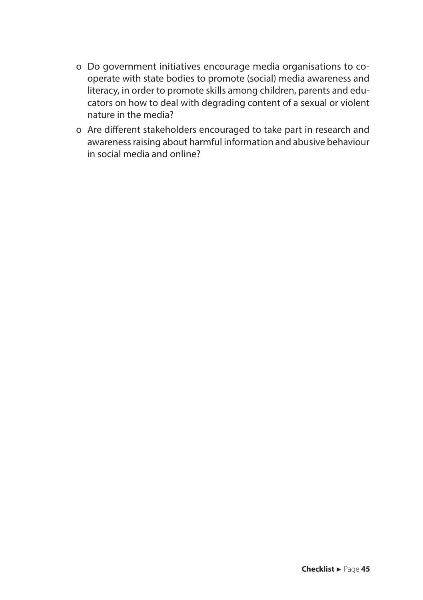- o Do government initiatives encourage media organisations to cooperate with state bodies to promote (social) media awareness and literacy, in order to promote skills among children, parents and educators on how to deal with degrading content of a sexual or violent nature in the media?
- o Are different stakeholders encouraged to take part in research and awareness raising about harmful information and abusive behaviour in social media and online?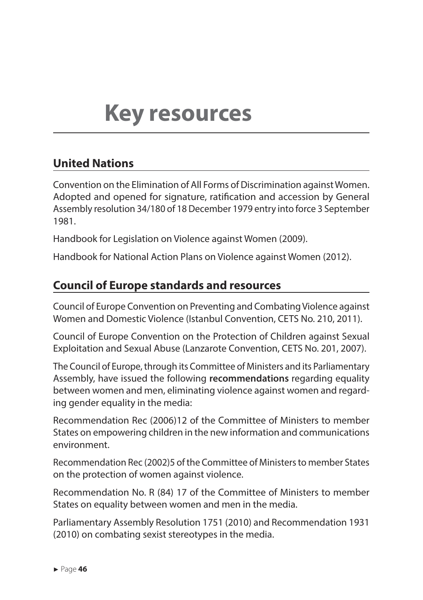## **Key resources**

#### **United Nations**

Convention on the Elimination of All Forms of Discrimination against Women. Adopted and opened for signature, ratification and accession by General Assembly resolution 34/180 of 18 December 1979 entry into force 3 September 1981.

Handbook for Legislation on Violence against Women (2009).

Handbook for National Action Plans on Violence against Women (2012).

#### **Council of Europe standards and resources**

Council of Europe Convention on Preventing and Combating Violence against Women and Domestic Violence (Istanbul Convention, CETS No. 210, 2011).

Council of Europe Convention on the Protection of Children against Sexual Exploitation and Sexual Abuse (Lanzarote Convention, CETS No. 201, 2007).

The Council of Europe, through its Committee of Ministers and its Parliamentary Assembly, have issued the following **recommendations** regarding equality between women and men, eliminating violence against women and regarding gender equality in the media:

Recommendation Rec (2006)12 of the Committee of Ministers to member States on empowering children in the new information and communications environment.

Recommendation Rec (2002)5 of the Committee of Ministers to member States on the protection of women against violence.

Recommendation No. R (84) 17 of the Committee of Ministers to member States on equality between women and men in the media.

Parliamentary Assembly Resolution 1751 (2010) and Recommendation 1931 (2010) on combating sexist stereotypes in the media.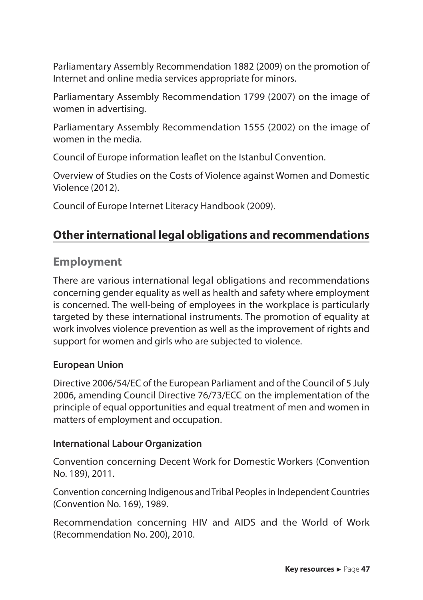Parliamentary Assembly Recommendation 1882 (2009) on the promotion of Internet and online media services appropriate for minors.

Parliamentary Assembly Recommendation 1799 (2007) on the image of women in advertising.

Parliamentary Assembly Recommendation 1555 (2002) on the image of women in the media.

Council of Europe information leaflet on the Istanbul Convention.

Overview of Studies on the Costs of Violence against Women and Domestic Violence (2012).

Council of Europe Internet Literacy Handbook (2009).

#### **Other international legal obligations and recommendations**

#### **Employment**

There are various international legal obligations and recommendations concerning gender equality as well as health and safety where employment is concerned. The well-being of employees in the workplace is particularly targeted by these international instruments. The promotion of equality at work involves violence prevention as well as the improvement of rights and support for women and girls who are subjected to violence.

#### **European Union**

Directive 2006/54/EC of the European Parliament and of the Council of 5 July 2006, amending Council Directive 76/73/ECC on the implementation of the principle of equal opportunities and equal treatment of men and women in matters of employment and occupation.

#### **International Labour Organization**

Convention concerning Decent Work for Domestic Workers (Convention No. 189), 2011.

Convention concerning Indigenous and Tribal Peoples in Independent Countries (Convention No. 169), 1989.

Recommendation concerning HIV and AIDS and the World of Work (Recommendation No. 200), 2010.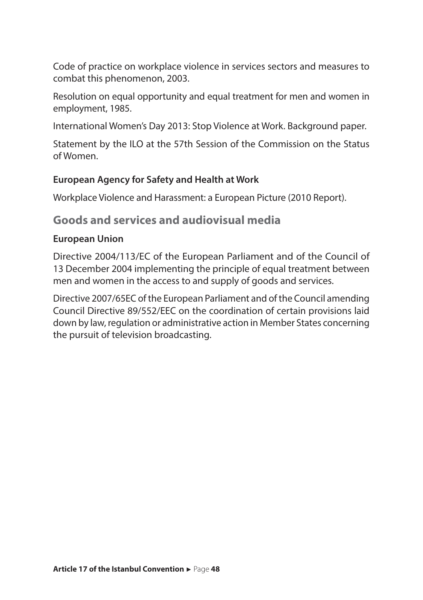Code of practice on workplace violence in services sectors and measures to combat this phenomenon, 2003.

Resolution on equal opportunity and equal treatment for men and women in employment, 1985.

International Women's Day 2013: Stop Violence at Work. Background paper.

Statement by the ILO at the 57th Session of the Commission on the Status of Women.

#### **European Agency for Safety and Health at Work**

Workplace Violence and Harassment: a European Picture (2010 Report).

#### **Goods and services and audiovisual media**

#### **European Union**

Directive 2004/113/EC of the European Parliament and of the Council of 13 December 2004 implementing the principle of equal treatment between men and women in the access to and supply of goods and services.

Directive 2007/65EC of the European Parliament and of the Council amending Council Directive 89/552/EEC on the coordination of certain provisions laid down by law, regulation or administrative action in Member States concerning the pursuit of television broadcasting.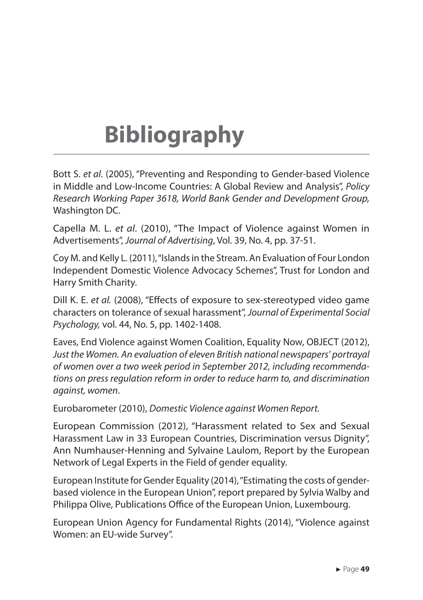# **Bibliography**

Bott S. *et al*. (2005), "Preventing and Responding to Gender-based Violence in Middle and Low-Income Countries: A Global Review and Analysis", *Policy Research Working Paper 3618, World Bank Gender and Development Group,* Washington DC.

Capella M. L. *et al*. (2010), "The Impact of Violence against Women in Advertisements", *Journal of Advertising*, Vol. 39, No. 4, pp. 37-51.

Coy M. and Kelly L. (2011), "Islands in the Stream. An Evaluation of Four London Independent Domestic Violence Advocacy Schemes", Trust for London and Harry Smith Charity.

Dill K. E. *et al.* (2008), "Effects of exposure to sex-stereotyped video game characters on tolerance of sexual harassment", *Journal of Experimental Social Psychology,* vol. 44, No. 5, pp. 1402-1408.

Eaves, End Violence against Women Coalition, Equality Now, OBJECT (2012), *Just the Women. An evaluation of eleven British national newspapers' portrayal of women over a two week period in September 2012, including recommendations on press regulation reform in order to reduce harm to, and discrimination against, women*.

Eurobarometer (2010), *Domestic Violence against Women Report.*

European Commission (2012), "Harassment related to Sex and Sexual Harassment Law in 33 European Countries, Discrimination versus Dignity", Ann Numhauser-Henning and Sylvaine Laulom, Report by the European Network of Legal Experts in the Field of gender equality.

European Institute for Gender Equality (2014), "Estimating the costs of genderbased violence in the European Union", report prepared by Sylvia Walby and Philippa Olive, Publications Office of the European Union, Luxembourg.

European Union Agency for Fundamental Rights (2014), "Violence against Women: an EU-wide Survey".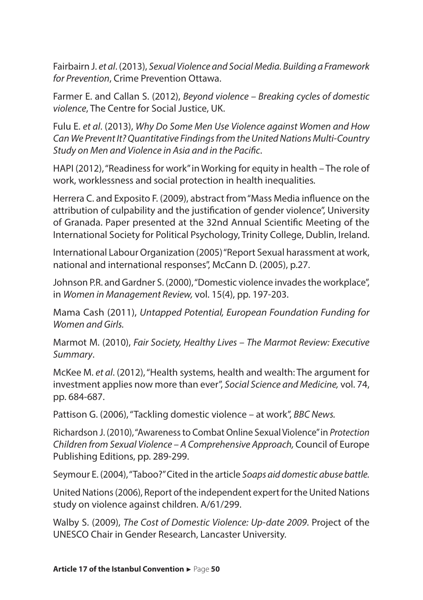Fairbairn J. *et al*. (2013), *Sexual Violence and Social Media. Building a Framework for Prevention*, Crime Prevention Ottawa.

Farmer E. and Callan S. (2012), *Beyond violence – Breaking cycles of domestic violence*, The Centre for Social Justice, UK.

Fulu E. *et al*. (2013), *Why Do Some Men Use Violence against Women and How Can We Prevent It? Quantitative Findings from the United Nations Multi-Country Study on Men and Violence in Asia and in the Pacific*.

HAPI (2012), "Readiness for work" in Working for equity in health – The role of work, worklessness and social protection in health inequalities*.* 

Herrera C. and Exposito F. (2009), abstract from "Mass Media influence on the attribution of culpability and the justification of gender violence", University of Granada. Paper presented at the 32nd Annual Scientific Meeting of the International Society for Political Psychology, Trinity College, Dublin, Ireland.

International Labour Organization (2005) "Report Sexual harassment at work, national and international responses", McCann D. (2005), p.27.

Johnson P.R. and Gardner S. (2000), "Domestic violence invades the workplace", in *Women in Management Review,* vol. 15(4), pp. 197-203.

Mama Cash (2011), *Untapped Potential, European Foundation Funding for Women and Girls.* 

Marmot M. (2010), *Fair Society, Healthy Lives – The Marmot Review: Executive Summary*.

McKee M. *et al*. (2012), "Health systems, health and wealth: The argument for investment applies now more than ever", *Social Science and Medicine,* vol. 74, pp. 684-687.

Pattison G. (2006), "Tackling domestic violence – at work", *BBC News.* 

Richardson J. (2010), "Awareness to Combat Online Sexual Violence" in *Protection Children from Sexual Violence – A Comprehensive Approach,* Council of Europe Publishing Editions, pp. 289-299.

Seymour E. (2004), "Taboo?" Cited in the article *Soaps aid domestic abuse battle.*

United Nations (2006), Report of the independent expert for the United Nations study on violence against children. A/61/299.

Walby S. (2009), *The Cost of Domestic Violence: Up-date 2009*. Project of the UNESCO Chair in Gender Research, Lancaster University.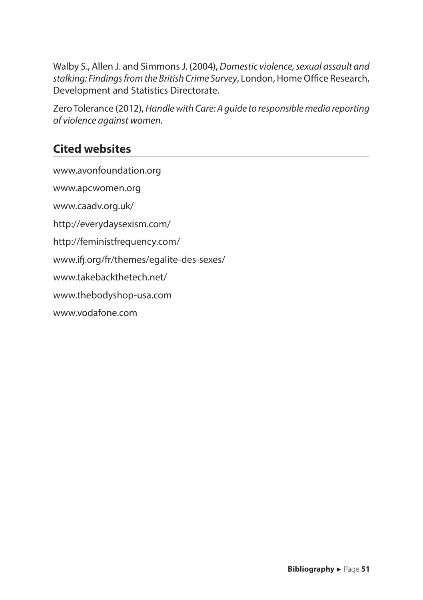Walby S., Allen J. and Simmons J. (2004), *Domestic violence, sexual assault and stalking: Findings from the British Crime Survey*, London, Home Office Research, Development and Statistics Directorate.

Zero Tolerance (2012), *Handle with Care: A guide to responsible media reporting of violence against women.* 

#### **Cited websites**

www.avonfoundation.org www.apcwomen.org www.caadv.org.uk/ http://everydaysexism.com/ http://feministfrequency.com/ www.ifj.org/fr/themes/egalite-des-sexes/ www.takebackthetech.net/ www.thebodyshop-usa.com www.vodafone.com